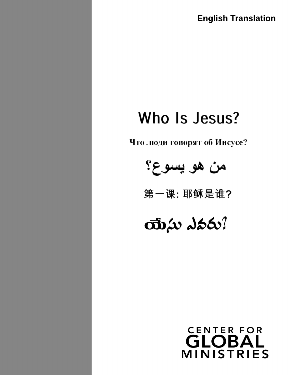**English Translation**

# Who Is Jesus?

Что люди говорят об Иисусе?



第一课:耶稣是谁?

# $\vec{v}$  and  $\vec{v}$

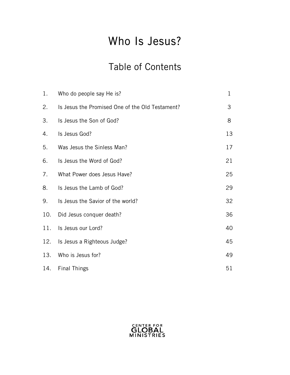## Who Is Jesus?

## Table of Contents

| 1.  | Who do people say He is?                        | $\mathbf 1$ |
|-----|-------------------------------------------------|-------------|
| 2.  | Is Jesus the Promised One of the Old Testament? | 3           |
| 3.  | Is Jesus the Son of God?                        | 8           |
| 4.  | Is Jesus God?                                   | 13          |
| 5.  | Was Jesus the Sinless Man?                      | 17          |
| 6.  | Is Jesus the Word of God?                       | 21          |
| 7.  | What Power does Jesus Have?                     | 25          |
| 8.  | Is Jesus the Lamb of God?                       | 29          |
| 9.  | Is Jesus the Savior of the world?               | 32          |
| 10. | Did Jesus conquer death?                        | 36          |
| 11. | Is Jesus our Lord?                              | 40          |
| 12. | Is Jesus a Righteous Judge?                     | 45          |
| 13. | Who is Jesus for?                               | 49          |
| 14. | <b>Final Things</b>                             | 51          |

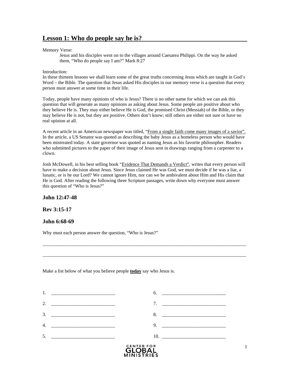### **Lesson 1: Who do people say he is?**

#### Memory Verse:

Jesus and his disciples went on to the villages around Caesarea Philippi. On the way he asked them, "Who do people say I am?" Mark 8:27

#### Introduction:

In these thirteen lessons we shall learn some of the great truths concerning Jesus which are taught in God's Word – the Bible. The question that Jesus asked His disciples in our memory verse is a question that every person must answer at some time in their life.

Today, people have many opinions of who is Jesus? There is no other name for which we can ask this question that will generate as many opinions as asking about Jesus. Some people are positive about who they believe He is. They may either believe He is God, the promised Christ (Messiah) of the Bible, or they may believe He is not, but they are positive. Others don't know; still others are either not sure or have no real opinion at all.

A recent article in an American newspaper was titled, "From a single faith come many images of a savior". In the article, a US Senator was quoted as describing the baby Jesus as a homeless person who would have been mistreated today. A state governor was quoted as naming Jesus as his favorite philosopher. Readers who submitted pictures to the paper of their image of Jesus sent in drawings ranging from a carpenter to a clown.

Josh McDowell, in his best selling book "Evidence That Demands a Verdict", writes that every person will have to make a decision about Jesus. Since Jesus claimed He was God, we must decide if he was a liar, a lunatic, or is he our Lord? We cannot ignore Him, nor can we be ambivalent about Him and His claim that He is God. After reading the following three Scripture passages, write down why everyone must answer this question of "Who is Jesus?"

\_\_\_\_\_\_\_\_\_\_\_\_\_\_\_\_\_\_\_\_\_\_\_\_\_\_\_\_\_\_\_\_\_\_\_\_\_\_\_\_\_\_\_\_\_\_\_\_\_\_\_\_\_\_\_\_\_\_\_\_\_\_\_\_\_\_\_\_\_\_\_\_\_\_\_\_\_\_\_\_\_\_\_\_\_\_

 $\_$  ,  $\_$  ,  $\_$  ,  $\_$  ,  $\_$  ,  $\_$  ,  $\_$  ,  $\_$  ,  $\_$  ,  $\_$  ,  $\_$  ,  $\_$  ,  $\_$  ,  $\_$  ,  $\_$  ,  $\_$  ,  $\_$  ,  $\_$  ,  $\_$  ,  $\_$  ,  $\_$  ,  $\_$  ,  $\_$  ,  $\_$  ,  $\_$  ,  $\_$  ,  $\_$  ,  $\_$  ,  $\_$  ,  $\_$  ,  $\_$  ,  $\_$  ,  $\_$  ,  $\_$  ,  $\_$  ,  $\_$  ,  $\_$  ,

### **John 12:47-48**

### **Rev 3:15-17**

### **John 6:68-69**

Why must each person answer the question, "Who is Jesus?"

Make a list below of what you believe people **today** say who Jesus is.

| 5.               |                                           | 10. |                                                                                                                       |
|------------------|-------------------------------------------|-----|-----------------------------------------------------------------------------------------------------------------------|
| $\overline{4}$ . |                                           | 9.  |                                                                                                                       |
| 3.               | <u> 2000 - Jan Barnett, mars et al. (</u> | 8.  | <u> 1989 - Johann John Stein, meil in der Stein und der Stein und der Stein und der Stein und der Stein und der S</u> |
| 2.               |                                           | 7.  |                                                                                                                       |
|                  |                                           | 6.  | <u> 1980 - Andrea Andrewski, fransk politik (d. 1980)</u>                                                             |

MINISTRIES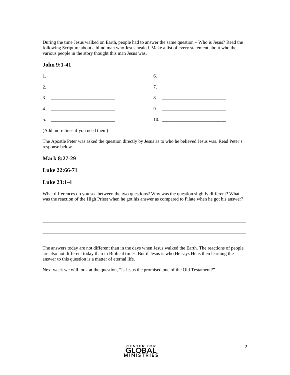During the time Jesus walked on Earth, people had to answer the same question – Who is Jesus? Read the following Scripture about a blind man who Jesus healed. Make a list of every statement about who the various people in the story thought this man Jesus was.

#### **John 9:1-41**

| 1. <u>_____________________________</u> | 6. |
|-----------------------------------------|----|
|                                         |    |
|                                         | 8. |
|                                         |    |
| 5.                                      |    |

(Add more lines if you need them)

The Apostle Peter was asked the question directly by Jesus as to who he believed Jesus was. Read Peter's response below.

#### **Mark 8:27-29**

#### **Luke 22:66-71**

### **Luke 23:1-4**

What differences do you see between the two questions? Why was the question slightly different? What was the reaction of the High Priest when he got his answer as compared to Pilate when he got his answer?

\_\_\_\_\_\_\_\_\_\_\_\_\_\_\_\_\_\_\_\_\_\_\_\_\_\_\_\_\_\_\_\_\_\_\_\_\_\_\_\_\_\_\_\_\_\_\_\_\_\_\_\_\_\_\_\_\_\_\_\_\_\_\_\_\_\_\_\_\_\_\_\_\_\_\_\_\_\_\_\_\_\_\_\_\_\_

 $\_$  ,  $\_$  ,  $\_$  ,  $\_$  ,  $\_$  ,  $\_$  ,  $\_$  ,  $\_$  ,  $\_$  ,  $\_$  ,  $\_$  ,  $\_$  ,  $\_$  ,  $\_$  ,  $\_$  ,  $\_$  ,  $\_$  ,  $\_$  ,  $\_$  ,  $\_$  ,  $\_$  ,  $\_$  ,  $\_$  ,  $\_$  ,  $\_$  ,  $\_$  ,  $\_$  ,  $\_$  ,  $\_$  ,  $\_$  ,  $\_$  ,  $\_$  ,  $\_$  ,  $\_$  ,  $\_$  ,  $\_$  ,  $\_$  ,

 $\_$  ,  $\_$  ,  $\_$  ,  $\_$  ,  $\_$  ,  $\_$  ,  $\_$  ,  $\_$  ,  $\_$  ,  $\_$  ,  $\_$  ,  $\_$  ,  $\_$  ,  $\_$  ,  $\_$  ,  $\_$  ,  $\_$  ,  $\_$  ,  $\_$  ,  $\_$  ,  $\_$  ,  $\_$  ,  $\_$  ,  $\_$  ,  $\_$  ,  $\_$  ,  $\_$  ,  $\_$  ,  $\_$  ,  $\_$  ,  $\_$  ,  $\_$  ,  $\_$  ,  $\_$  ,  $\_$  ,  $\_$  ,  $\_$  ,

The answers today are not different than in the days when Jesus walked the Earth. The reactions of people are also not different today than in Biblical times. But if Jesus is who He says He is then learning the answer to this question is a matter of eternal life.

Next week we will look at the question, "Is Jesus the promised one of the Old Testament?"

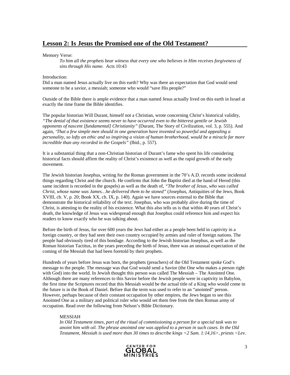### **Lesson 2: Is Jesus the Promised one of the Old Testament?**

Memory Verse:

*To him all the prophets bear witness that every one who believes in Him receives forgiveness of sins through His name.* Acts 10:43

#### Introduction:

Did a man named Jesus actually live on this earth? Why was there an expectation that God would send someone to be a savior, a messiah; someone who would "save His people?"

Outside of the Bible there is ample evidence that a man named Jesus actually lived on this earth in Israel at exactly the time frame the Bible identifies.

The popular historian Will Durant, himself not a Christian, wrote concerning Christ's historical validity, *"The denial of that existence seems never to have occurred even to the bitterest gentile or Jewish opponents of nascent [fundamental] Christianity"* (Durant, The Story of Civilization, vol. 3, p. 555). And again, *'That a few simple men should in one generation have invented so powerful and appealing a personality, so lofty an ethic and so inspiring a vision of human brotherhood, would be a miracle far more incredible than any recorded in the Gospels"* (Ibid., p. 557).

It is a substantial thing that a non-Christian historian of Durant's fame who spent his life considering historical facts should affirm the reality of Christ's existence as well as the rapid growth of the early movement.

The Jewish historian Josephus, writing for the Roman government in the 70's A.D. records some incidental things regarding Christ and the church. He confirms that John the Baptist died at the hand of Herod (this same incident is recorded in the gospels) as well as the death of, *"The brother of Jesus, who was called Christ, whose name was James…he delivered them to be stoned"* (Josephus, Antiquities of the Jews, Book XVIII, ch. V, p. 20; Book XX, ch. IX, p. 140). Again we have sources external to the Bible that demonstrate the historical reliability of the text. Josephus, who was probably alive during the time of Christ, is attesting to the reality of his existence. What this also tells us is that within 40 years of Christ's death, the knowledge of Jesus was widespread enough that Josephus could reference him and expect his readers to know exactly who he was talking about.

Before the birth of Jesus, for over 600 years the Jews had either as a people been held in captivity in a foreign country, or they had seen their own country occupied by armies and ruler of foreign nations. The people had obviously tired of this bondage. According to the Jewish historian Josephus, as well as the Roman historian Tactitus, in the years preceding the birth of Jesus, there was an unusual expectation of the coming of the Messiah that had been foretold by their prophets.

Hundreds of years before Jesus was born, the prophets (preachers) of the Old Testament spoke God's message to the people. The message was that God would send a Savior (the One who makes a person right with God) into the world. In Jewish thought this person was called The Messiah – The Anointed One. Although there are many references to this Savior before the Jewish people were in captivity in Babylon, the first time the Scriptures record that this Messiah would be the actual title of a King who would come in the future is in the Book of Daniel. Before that the term was used to refer to an "anointed" person. However, perhaps because of their constant occupation by other empires, the Jews began to see this Anointed One as a military and political ruler who would set them free from the then Roman army of occupation. Read over the following from Nelson's Bible Dictionary.

#### MESSIAH

*In Old Testament times, part of the ritual of commissioning a person for a special task was to anoint him with oil. The phrase anointed one was applied to a person in such cases. In the Old Testament, Messiah is used more than 30 times to describe kings <2 Sam. 1:14,16>, priests <Lev.* 

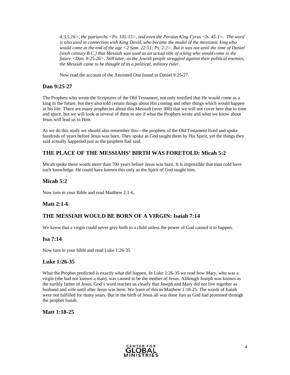*4:3,5,16>, the patriarchs <Ps. 105:15>, and even the Persian King Cyrus <Is. 45:1>. The word is also used in connection with King David, who became the model of the messianic king who would come at the end of the age <2 Sam. 22:51; Ps. 2:2>. But it was not until the time of Daniel (sixth century B.C.) that Messiah was used as an actual title of a king who would come in the future <Dan. 9:25-26>. Still later, as the Jewish people struggled against their political enemies, the Messiah came to be thought of as a political, military ruler.* 

Now read the account of the Anointed One found in Daniel 9:25-27.

### **Dan 9:25-27**

The Prophets who wrote the Scriptures of the Old Testament, not only testified that He would come as a king in the future, but they also told certain things about His coming and other things which would happen in his life. There are many prophecies about this Messiah (over 300) that we will not cover here due to time and space, but we will look at several of them to see if what the Prophets wrote and what we know about Jesus will lead us to Him.

As we do this study we should also remember this—the prophets of the Old Testament lived and spoke hundreds of years before Jesus was born. They spoke as God taught them by His Spirit, yet the things they said actually happened just as the prophets had said.

### **THE PLACE OF THE MESSIAHS' BIRTH WAS FORETOLD: Micah 5:2**

Micah spoke these words more than 700 years before Jesus was born. It is impossible that man cold have such knowledge. He could have known this only as the Spirit of God taught him.

### **Micah 5:2**

Now turn in your Bible and read Matthew 2:1-6.

### **Matt 2:1-6**

### **THE MESSIAH WOULD BE BORN OF A VIRGIN: Isaiah 7:14**

We know that a virgin could never give birth to a child unless the power of God caused it to happen.

### **Isa 7:14**

Now turn in your bible and read Luke 1:26-35

### **Luke 1:26-35**

What the Prophet predicted is exactly what did happen. In Luke 1:26-35 we read how Mary, who was a virgin (she had not known a man), was caused to be the mother of Jesus. Although Joseph was known as the earthly father of Jesus, God's word teaches us clearly that Joseph and Mary did not live together as husband and wife until after Jesus was born. We learn of this in Matthew 1:18-25. The words of Isaiah were not fulfilled for many years. But in the birth of Jesus all was done Just as God had promised through the prophet Isaiah.

**Matt 1:18-25** 

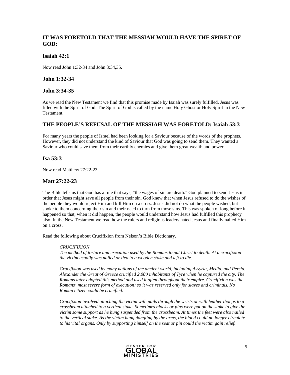### **IT WAS FORETOLD THAT THE MESSIAH WOULD HAVE THE SPIRET OF GOD:**

### **Isaiah 42:1**

Now read John 1:32-34 and John 3:34,35.

#### **John 1:32-34**

### **John 3:34-35**

As we read the New Testament we find that this promise made by Isaiah was surely fulfilled. Jesus was filled with the Spirit of God. The Spirit of God is called by the name Holy Ghost or Holy Spirit in the New Testament.

### **THE PEOPLE'S REFUSAL OF THE MESSIAH WAS FORETOLD: Isaiah 53:3**

For many years the people of Israel had been looking for a Saviour because of the words of the prophets. However, they did not understand the kind of Saviour that God was going to send them. They wanted a Saviour who could save them from their earthly enemies and give them great wealth and power.

#### **Isa 53:3**

Now read Matthew 27:22-23

### **Matt 27:22-23**

The Bible tells us that God has a rule that says, "the wages of sin are death." God planned to send Jesus in order that Jesus might save all people from their sin. God knew that when Jesus refused to do the wishes of the people they would reject Him and kill Him on a cross. Jesus did not do what the people wished, but spoke to them concerning their sin and their need to turn from those sins. This was spoken of long before it happened so that, when it did happen, the people would understand how Jesus had fulfilled this prophecy also. In the New Testament we read how the rulers and religious leaders hated Jesus and finally nailed Him on a cross.

Read the following about Crucifixion from Nelson's Bible Dictionary.

#### *CRUCIFIXION*

*The method of torture and execution used by the Romans to put Christ to death. At a crucifixion the victim usually was nailed or tied to a wooden stake and left to die.*

*Crucifixion was used by many nations of the ancient world, including Assyria, Media, and Persia. Alexander the Great of Greece crucified 2,000 inhabitants of Tyre when he captured the city. The Romans later adopted this method and used it often throughout their empire. Crucifixion was the Romans' most severe form of execution; so it was reserved only for slaves and criminals. No Roman citizen could be crucified.* 

*Crucifixion involved attaching the victim with nails through the wrists or with leather thongs to a crossbeam attached to a vertical stake. Sometimes blocks or pins were put on the stake to give the victim some support as he hung suspended from the crossbeam. At times the feet were also nailed to the vertical stake. As the victim hung dangling by the arms, the blood could no longer circulate to his vital organs. Only by supporting himself on the seat or pin could the victim gain relief.* 

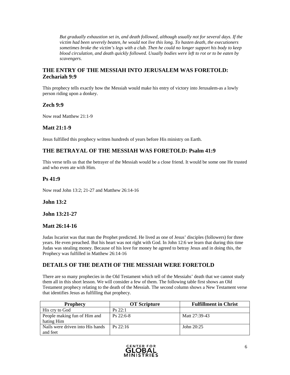*But gradually exhaustion set in, and death followed, although usually not for several days. If the victim had been severely beaten, he would not live this long. To hasten death, the executioners sometimes broke the victim's legs with a club. Then he could no longer support his body to keep blood circulation, and death quickly followed. Usually bodies were left to rot or to be eaten by scavengers.* 

### **THE ENTRY OF THE MESSIAH INTO JERUSALEM WAS FORETOLD: Zechariah 9:9**

This prophecy tells exactly how the Messiah would make his entry of victory into Jerusalem-as a lowly person riding upon a donkey.

### **Zech 9:9**

Now read Matthew 21:1-9

### **Matt 21:1-9**

Jesus fulfilled this prophecy written hundreds of years before His ministry on Earth.

### **THE BETRAYAL OF THE MESSIAH WAS FORETOLD: Psalm 41:9**

This verse tells us that the betrayer of the Messiah would be a close friend. It would be some one He trusted and who even ate with Him.

### **Ps 41:9**

Now read John 13:2; 21-27 and Matthew 26:14-16

### **John 13:2**

**John 13:21-27** 

### **Matt 26:14-16**

Judas Iscariot was that man the Prophet predicted. He lived as one of Jesus' disciples (followers) for three years. He even preached. But his heart was not right with God. In John 12:6 we learn that during this time Judas was stealing money. Because of his love for money he agreed to betray Jesus and in doing this, the Prophecy was fulfilled in Matthew 26:14-16

### **DETAILS OF THE DEATH OF THE MESSIAH WERE FORETOLD**

There are so many prophecies in the Old Testament which tell of the Messiahs' death that we cannot study them all in this short lesson. We will consider a few of them. The following table first shows an Old Testament prophecy relating to the death of the Messiah. The second column shows a New Testament verse that identifies Jesus as fulfilling that prophecy.

| <b>Prophecy</b>                  | <b>OT Scripture</b> | <b>Fulfillment in Christ</b> |
|----------------------------------|---------------------|------------------------------|
| His cry to God                   | Ps 22:1             |                              |
| People making fun of Him and     | $Ps$ 22:6-8         | Matt 27:39-43                |
| hating Him                       |                     |                              |
| Nails were driven into His hands | $Ps$ 22:16          | John 20:25                   |
| and feet                         |                     |                              |

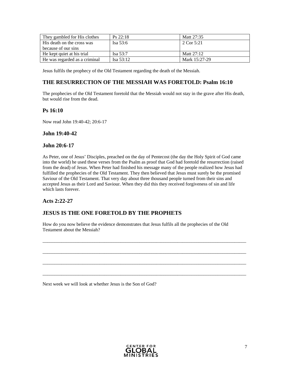| They gambled for His clothes  | $Ps$ 22:18  | Matt 27:35    |
|-------------------------------|-------------|---------------|
| His death on the cross was    | Isa $53:6$  | 2 Cor 5:21    |
| because of our sins           |             |               |
| He kept quiet at his trial    | Isa 53:7    | Matt $27:12$  |
| He was regarded as a criminal | Isa $53:12$ | Mark 15:27-29 |

Jesus fulfils the prophecy of the Old Testament regarding the death of the Messiah.

### **THE RESURRECTION OF THE MESSIAH WAS FORETOLD: Psalm 16:10**

The prophecies of the Old Testament foretold that the Messiah would not stay in the grave after His death, but would rise from the dead.

### **Ps 16:10**

Now read John 19:40-42; 20:6-17

### **John 19:40-42**

### **John 20:6-17**

As Peter, one of Jesus' Disciples, preached on the day of Pentecost (the day the Holy Spirit of God came into the world) he used these verses from the Psalm as proof that God had foretold the resurrection (raised from the dead) of Jesus. When Peter had finished his message many of the people realized how Jesus had fulfilled the prophecies of the Old Testament. They then believed that Jesus must surely be the promised Saviour of the Old Testament. That very day about three thousand people turned from their sins and accepted Jesus as their Lord and Saviour. When they did this they received forgiveness of sin and life which lasts forever.

### **Acts 2:22-27**

### **JESUS IS THE ONE FORETOLD BY THE PROPHETS**

How do you now believe the evidence demonstrates that Jesus fulfils all the prophecies of the Old Testament about the Messiah?

 $\_$  ,  $\_$  ,  $\_$  ,  $\_$  ,  $\_$  ,  $\_$  ,  $\_$  ,  $\_$  ,  $\_$  ,  $\_$  ,  $\_$  ,  $\_$  ,  $\_$  ,  $\_$  ,  $\_$  ,  $\_$  ,  $\_$  ,  $\_$  ,  $\_$  ,  $\_$  ,  $\_$  ,  $\_$  ,  $\_$  ,  $\_$  ,  $\_$  ,  $\_$  ,  $\_$  ,  $\_$  ,  $\_$  ,  $\_$  ,  $\_$  ,  $\_$  ,  $\_$  ,  $\_$  ,  $\_$  ,  $\_$  ,  $\_$  ,

 $\_$  ,  $\_$  ,  $\_$  ,  $\_$  ,  $\_$  ,  $\_$  ,  $\_$  ,  $\_$  ,  $\_$  ,  $\_$  ,  $\_$  ,  $\_$  ,  $\_$  ,  $\_$  ,  $\_$  ,  $\_$  ,  $\_$  ,  $\_$  ,  $\_$  ,  $\_$  ,  $\_$  ,  $\_$  ,  $\_$  ,  $\_$  ,  $\_$  ,  $\_$  ,  $\_$  ,  $\_$  ,  $\_$  ,  $\_$  ,  $\_$  ,  $\_$  ,  $\_$  ,  $\_$  ,  $\_$  ,  $\_$  ,  $\_$  ,

\_\_\_\_\_\_\_\_\_\_\_\_\_\_\_\_\_\_\_\_\_\_\_\_\_\_\_\_\_\_\_\_\_\_\_\_\_\_\_\_\_\_\_\_\_\_\_\_\_\_\_\_\_\_\_\_\_\_\_\_\_\_\_\_\_\_\_\_\_\_\_\_\_\_\_\_\_\_\_\_\_\_\_\_\_\_

 $\_$  ,  $\_$  ,  $\_$  ,  $\_$  ,  $\_$  ,  $\_$  ,  $\_$  ,  $\_$  ,  $\_$  ,  $\_$  ,  $\_$  ,  $\_$  ,  $\_$  ,  $\_$  ,  $\_$  ,  $\_$  ,  $\_$  ,  $\_$  ,  $\_$  ,  $\_$  ,  $\_$  ,  $\_$  ,  $\_$  ,  $\_$  ,  $\_$  ,  $\_$  ,  $\_$  ,  $\_$  ,  $\_$  ,  $\_$  ,  $\_$  ,  $\_$  ,  $\_$  ,  $\_$  ,  $\_$  ,  $\_$  ,  $\_$  ,

Next week we will look at whether Jesus is the Son of God?

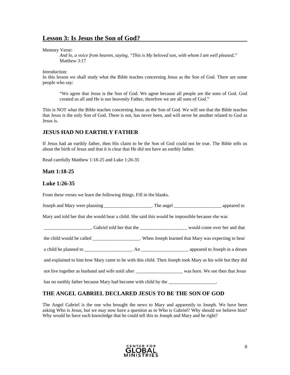### **Lesson 3: Is Jesus the Son of God?**

Memory Verse:

*And lo, a voice from heaven, saying, "This is My beloved son, with whom I am well pleased,"*  Matthew 3:17

Introduction:

In this lesson we shall study what the Bible teaches concerning Jesus as the Son of God. There are some people who say:

"We agree that Jesus is the Son of God. We agree because all people are the sons of God. God created us all and He is our heavenly Father, therefore we are all sons of God."

This is NOT what the Bible teaches concerning Jesus as the Son of God. We will see that the Bible teaches that Jesus is the only Son of God. There is not, has never been, and will never be another related to God as Jesus is.

### **JESUS HAD NO EARTHLY FATHER**

If Jesus had an earthly father, then His claim to be the Son of God could not be true. The Bible tells us about the birth of Jesus and that it is clear that He did not have an earthly father.

Read carefully Matthew 1:18-25 and Luke 1:26-35

### **Matt 1:18-25**

### **Luke 1:26-35**

From these verses we learn the following things. Fill in the blanks.

|  | Joseph and Mary were planning | The angel | appeared to |
|--|-------------------------------|-----------|-------------|
|--|-------------------------------|-----------|-------------|

Mary and told her that she would bear a child. She said this would be impossible because she was

\_\_\_\_\_\_\_\_\_\_\_\_\_\_\_\_\_\_\_\_. Gabriel told her that the \_\_\_\_\_\_\_\_\_\_\_\_\_\_\_\_\_\_\_\_ would come over her and that

the child would be called \_\_\_\_\_\_\_\_\_\_\_\_\_\_\_\_\_\_\_\_. When Joseph learned that Mary was expecting to bear

a child he planned to \_\_\_\_\_\_\_\_\_\_\_\_\_\_\_\_\_\_\_\_. An \_\_\_\_\_\_\_\_\_\_\_\_\_\_\_\_\_\_\_\_ appeared to Joseph in a dream

and explained to him how Mary came to be with this child. Then Joseph took Mary as his wife but they did

not live together as husband and wife until after \_\_\_\_\_\_\_\_\_\_\_\_\_\_\_\_\_\_\_\_ was born. We see then that Jesus

has no earthly father because Mary had become with child by the  $\blacksquare$ 

### **THE ANGEL GABRIEL DECLARED JESUS TO BE THE SON OF GOD**

The Angel Gabriel is the one who brought the news to Mary and apparently to Joseph. We have been asking Who is Jesus, but we may now have a question as to Who is Gabriel? Why should we believe him? Why would he have such knowledge that he could tell this to Joseph and Mary and be right?

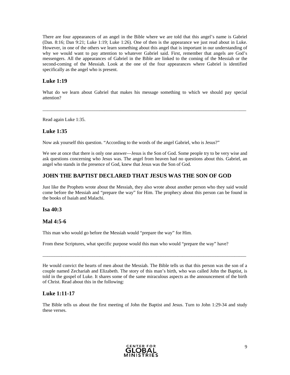There are four appearances of an angel in the Bible where we are told that this angel's name is Gabriel (Dan. 8:16; Dan 9:21; Luke 1:19; Luke 1:26). One of then is the appearance we just read about in Luke. However, in one of the others we learn something about this angel that is important in our understanding of why we would want to pay attention to whatever Gabriel said. First, remember that angels are God's messengers. All the appearances of Gabriel in the Bible are linked to the coming of the Messiah or the second-coming of the Messiah. Look at the one of the four appearances where Gabriel is identified specifically as the angel who is present.

### **Luke 1:19**

What do we learn about Gabriel that makes his message something to which we should pay special attention?

 $\_$  ,  $\_$  ,  $\_$  ,  $\_$  ,  $\_$  ,  $\_$  ,  $\_$  ,  $\_$  ,  $\_$  ,  $\_$  ,  $\_$  ,  $\_$  ,  $\_$  ,  $\_$  ,  $\_$  ,  $\_$  ,  $\_$  ,  $\_$  ,  $\_$  ,  $\_$  ,  $\_$  ,  $\_$  ,  $\_$  ,  $\_$  ,  $\_$  ,  $\_$  ,  $\_$  ,  $\_$  ,  $\_$  ,  $\_$  ,  $\_$  ,  $\_$  ,  $\_$  ,  $\_$  ,  $\_$  ,  $\_$  ,  $\_$  ,

Read again Luke 1:35.

### **Luke 1:35**

Now ask yourself this question. "According to the words of the angel Gabriel, who is Jesus?"

We see at once that there is only one answer—Jesus is the Son of God. Some people try to be very wise and ask questions concerning who Jesus was. The angel from heaven had no questions about this. Gabriel, an angel who stands in the presence of God, knew that Jesus was the Son of God.

### **JOHN THE BAPTIST DECLARED THAT JESUS WAS THE SON OF GOD**

Just like the Prophets wrote about the Messiah, they also wrote about another person who they said would come before the Messiah and "prepare the way" for Him. The prophecy about this person can be found in the books of Isaiah and Malachi.

### **Isa 40:3**

### **Mal 4:5-6**

This man who would go before the Messiah would "prepare the way" for Him.

From these Scriptures, what specific purpose would this man who would "prepare the way" have?

He would convict the hearts of men about the Messiah. The Bible tells us that this person was the son of a couple named Zechariah and Elizabeth. The story of this man's birth, who was called John the Baptist, is told in the gospel of Luke. It shares some of the same miraculous aspects as the announcement of the birth of Christ. Read about this in the following:

 $\_$  ,  $\_$  ,  $\_$  ,  $\_$  ,  $\_$  ,  $\_$  ,  $\_$  ,  $\_$  ,  $\_$  ,  $\_$  ,  $\_$  ,  $\_$  ,  $\_$  ,  $\_$  ,  $\_$  ,  $\_$  ,  $\_$  ,  $\_$  ,  $\_$  ,  $\_$  ,  $\_$  ,  $\_$  ,  $\_$  ,  $\_$  ,  $\_$  ,  $\_$  ,  $\_$  ,  $\_$  ,  $\_$  ,  $\_$  ,  $\_$  ,  $\_$  ,  $\_$  ,  $\_$  ,  $\_$  ,  $\_$  ,  $\_$  ,

### **Luke 1:11-17**

The Bible tells us about the first meeting of John the Baptist and Jesus. Turn to John 1:29-34 and study these verses.

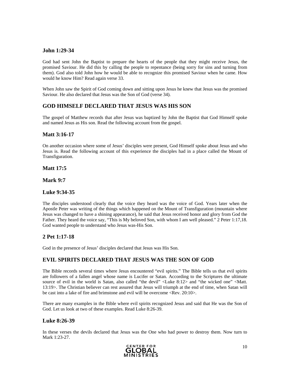### **John 1:29-34**

God had sent John the Baptist to prepare the hearts of the people that they might receive Jesus, the promised Saviour. He did this by calling the people to repentance (being sorry for sins and turning from them). God also told John how he would be able to recognize this promised Saviour when he came. How would he know Him? Read again verse 33.

When John saw the Spirit of God coming down and sitting upon Jesus he knew that Jesus was the promised Saviour. He also declared that Jesus was the Son of God (verse 34).

### **GOD HIMSELF DECLARED THAT JESUS WAS HIS SON**

The gospel of Matthew records that after Jesus was baptized by John the Baptist that God Himself spoke and named Jesus as His son. Read the following account from the gospel.

### **Matt 3:16-17**

On another occasion where some of Jesus' disciples were present, God Himself spoke about Jesus and who Jesus is. Read the following account of this experience the disciples had in a place called the Mount of Transfiguration.

**Matt 17:5** 

**Mark 9:7** 

### **Luke 9:34-35**

The disciples understood clearly that the voice they heard was the voice of God. Years later when the Apostle Peter was writing of the things which happened on the Mount of Transfiguration (mountain where Jesus was changed to have a shining appearance), he said that Jesus received honor and glory from God the Father. They heard the voice say, "This is My beloved Son, with whom I am well pleased." 2 Peter 1:17,18. God wanted people to understand who Jesus was-His Son.

### **2 Pet 1:17-18**

God in the presence of Jesus' disciples declared that Jesus was His Son.

### **EVIL SPIRITS DECLARED THAT JESUS WAS THE SON OF GOD**

The Bible records several times where Jesus encountered "evil spirits." The Bible tells us that evil spirits are followers of a fallen angel whose name is Lucifer or Satan. According to the Scriptures the ultimate source of evil in the world is Satan, also called "the devil" <Luke 8:12> and "the wicked one" <Matt. 13:19>. The Christian believer can rest assured that Jesus will triumph at the end of time, when Satan will be cast into a lake of fire and brimstone and evil will be overcome  $\langle Rev. 20:10 \rangle$ .

There are many examples in the Bible where evil spirits recognized Jesus and said that He was the Son of God. Let us look at two of these examples. Read Luke 8:26-39.

### **Luke 8:26-39**

In these verses the devils declared that Jesus was the One who had power to destroy them. Now turn to Mark 1:23-27.

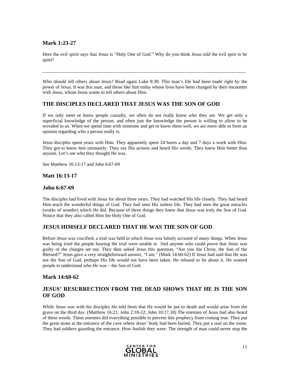### **Mark 1:23-27**

Here the evil spirit says that Jesus is "Holy One of God." Why do you think Jesus told the evil sprit to be quiet?

\_\_\_\_\_\_\_\_\_\_\_\_\_\_\_\_\_\_\_\_\_\_\_\_\_\_\_\_\_\_\_\_\_\_\_\_\_\_\_\_\_\_\_\_\_\_\_\_\_\_\_\_\_\_\_\_\_\_\_\_\_\_\_\_\_\_\_\_\_\_\_\_\_\_\_\_\_\_\_\_\_\_\_\_\_\_

Who should tell others about Jesus? Read again Luke 8:39. This man's life had been made right by the power of Jesus. It was this man, and those like him today whose lives have been changed by their encounter with Jesus, whom Jesus wants to tell others about Him.

### **THE DISCIPLES DECLARED THAT JESUS WAS THE SON OF GOD**

If we only meet or know people casually, we often do not really know who they are. We get only a superficial knowledge of the person, and often just the knowledge the person is willing to allow to be revealed to us. When we spend time with someone and get to know them well, we are more able to form an opinion regarding who a person really is.

Jesus disciples spent years with Him. They apparently spent 24 hours a day and 7 days a week with Him. They got to know him intimately. They say His actions and heard His words. They knew Him better than anyone. Let's see who they thought He was.

See Matthew 16:13-17 and John 6:67-69

### **Matt 16:13-17**

### **John 6:67-69**

The disciples had lived with Jesus for about three years. They had watched His life closely. They had heard Him teach the wonderful things of God. They had seen His sinless life. They had seen the great miracles (works of wonder) which He did. Because of these things they knew that Jesus was truly the Son of God. Notice that they also called Him the Holy One of God.

### **JESUS HIMSELF DECLARED THAT HE WAS THE SON OF GOD**

Before Jesus was crucified, a trial was held in which Jesus was falsely accused of many things. When Jesus was being tried the people hearing the trial were unable to find anyone who could prove that Jesus was guilty of the charges set out. They then asked Jesus this question, "Are you the Christ, the Son of the Blessed?" Jesus gave a very straightforward answer, "I am." (Mark 14:60-62) If Jesus had said that He was not the Son of God, perhaps His life would not have been taken. He refused to lie about it. He wanted people to understand who He was – the Son of God.

### **Mark 14:60-62**

### **JESUS' RESURRECTION FROM THE DEAD SHOWS THAT HE IS THE SON OF GOD**

While Jesus was with his disciples He told them that He would be put to death and would arise from the grave on the third day. (Matthew 16:21; John 2:18-22; John 10:17,18) The enemies of Jesus had also heard of these words. These enemies did everything possible to prevent this prophecy from coming true. They put the great stone at the entrance of the cave where Jesus' body had been buried. They put a seal on the stone. They had soldiers guarding the entrance. How foolish they were. The strength of man could never stop the

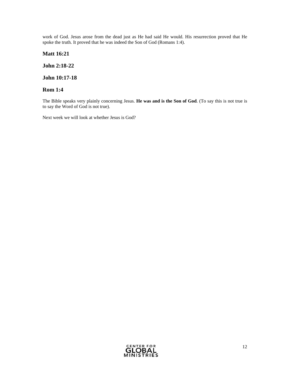work of God. Jesus arose from the dead just as He had said He would. His resurrection proved that He spoke the truth. It proved that he was indeed the Son of God (Romans 1:4).

**Matt 16:21** 

**John 2:18-22** 

**John 10:17-18** 

### **Rom 1:4**

The Bible speaks very plainly concerning Jesus. **He was and is the Son of God**. (To say this is not true is to say the Word of God is not true).

Next week we will look at whether Jesus is God?

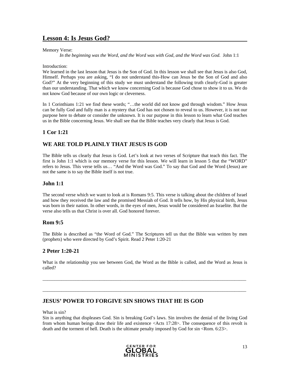### **Lesson 4: Is Jesus God?**

Memory Verse:

*In the beginning was the Word, and the Word was with God, and the Word was God.* John 1:1

Introduction:

We learned in the last lesson that Jesus is the Son of God. In this lesson we shall see that Jesus is also God, Himself. Perhaps you are asking, "I do not understand this-How can Jesus be the Son of God and also God?" At the very beginning of this study we must understand the following truth clearly-God is greater than our understanding. That which we know concerning God is because God chose to show it to us. We do not know God because of our own logic or cleverness.

In 1 Corinthians 1:21 we find these words; "...the world did not know god through wisdom." How Jesus can be fully God and fully man is a mystery that God has not chosen to reveal to us. However, it is not our purpose here to debate or consider the unknown. It is our purpose in this lesson to learn what God teaches us in the Bible concerning Jesus. We shall see that the Bible teaches very clearly that Jesus is God.

### **1 Cor 1:21**

### **WE ARE TOLD PLAINLY THAT JESUS IS GOD**

The Bible tells us clearly that Jesus is God. Let's look at two verses of Scripture that teach this fact. The first is John 1:1 which is our memory verse for this lesson. We will learn in lesson 5 that the "WORD" refers to Jesus. This verse tells us… "And the Word was God." To say that God and the Word (Jesus) are not the same is to say the Bible itself is not true.

### **John 1:1**

The second verse which we want to look at is Romans 9:5. This verse is talking about the children of Israel and how they received the law and the promised Messiah of God. It tells how, by His physical birth, Jesus was born in their nation. In other words, in the eyes of men, Jesus would be considered an Israelite. But the verse also tells us that Christ is over all. God honored forever.

### **Rom 9:5**

The Bible is described as "the Word of God." The Scriptures tell us that the Bible was written by men (prophets) who were directed by God's Spirit. Read 2 Peter 1:20-21

### **2 Peter 1:20-21**

What is the relationship you see between God, the Word as the Bible is called, and the Word as Jesus is called?

 $\_$  ,  $\_$  ,  $\_$  ,  $\_$  ,  $\_$  ,  $\_$  ,  $\_$  ,  $\_$  ,  $\_$  ,  $\_$  ,  $\_$  ,  $\_$  ,  $\_$  ,  $\_$  ,  $\_$  ,  $\_$  ,  $\_$  ,  $\_$  ,  $\_$  ,  $\_$  ,  $\_$  ,  $\_$  ,  $\_$  ,  $\_$  ,  $\_$  ,  $\_$  ,  $\_$  ,  $\_$  ,  $\_$  ,  $\_$  ,  $\_$  ,  $\_$  ,  $\_$  ,  $\_$  ,  $\_$  ,  $\_$  ,  $\_$  ,

 $\_$  ,  $\_$  ,  $\_$  ,  $\_$  ,  $\_$  ,  $\_$  ,  $\_$  ,  $\_$  ,  $\_$  ,  $\_$  ,  $\_$  ,  $\_$  ,  $\_$  ,  $\_$  ,  $\_$  ,  $\_$  ,  $\_$  ,  $\_$  ,  $\_$  ,  $\_$  ,  $\_$  ,  $\_$  ,  $\_$  ,  $\_$  ,  $\_$  ,  $\_$  ,  $\_$  ,  $\_$  ,  $\_$  ,  $\_$  ,  $\_$  ,  $\_$  ,  $\_$  ,  $\_$  ,  $\_$  ,  $\_$  ,  $\_$  ,

### **JESUS' POWER TO FORGIVE SIN SHOWS THAT HE IS GOD**

What is sin?

Sin is anything that displeases God. Sin is breaking God's laws. Sin involves the denial of the living God from whom human beings draw their life and existence <Acts 17:28>. The consequence of this revolt is death and the torment of hell. Death is the ultimate penalty imposed by God for sin <Rom. 6:23>.

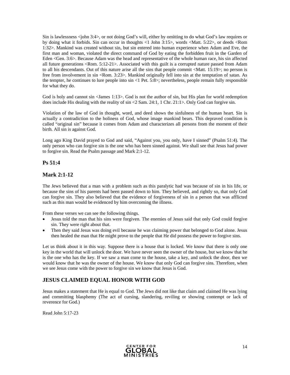Sin is lawlessness <john 3:4>, or not doing God's will, either by omitting to do what God's law requires or by doing what it forbids. Sin can occur in thoughts <1 John 3:15>, words <Matt. 5:22>, or deeds <Rom 1:32>. Mankind was created without sin, but sin entered into human experience when Adam and Eve, the first man and woman, violated the direct command of God by eating the forbidden fruit in the Garden of Eden <Gen. 3:6>. Because Adam was the head and representative of the whole human race, his sin affected all future generations <Rom. 5:12-21>. Associated with this guilt is a corrupted nature passed from Adam to all his descendants. Out of this nature arise all the sins that people commit <Matt. 15:19>; no person is free from involvement in sin <Rom. 3:23>. Mankind originally fell into sin at the temptation of satan. As the tempter, he continues to lure people into sin <1 Pet. 5:8>; nevertheless, people remain fully responsible for what they do.

God is holy and cannot sin <James 1:13>. God is not the author of sin, but His plan for world redemption does include His dealing with the reality of sin <2 Sam. 24:1, 1 Chr. 21:1>. Only God can forgive sin.

Violation of the law of God in thought, word, and deed shows the sinfulness of the human heart. Sin is actually a contradiction to the holiness of God, whose image mankind bears. This depraved condition is called "original sin" because it comes from Adam and characterizes all persons from the moment of their birth. All sin is against God.

Long ago King David prayed to God and said, "Against you, you only, have I sinned" (Psalm 51:4). The only person who can forgive sin is the one who has been sinned against. We shall see that Jesus had power to forgive sin. Read the Psalm passage and Mark 2:1-12.

### **Ps 51:4**

### **Mark 2:1-12**

The Jews believed that a man with a problem such as this paralytic had was because of sin in his life, or because the sins of his parents had been passed down to him. They believed, and rightly so, that only God can forgive sin. They also believed that the evidence of forgiveness of sin in a person that was afflicted such as this man would be evidenced by him overcoming the illness.

From these verses we can see the following things.

- Jesus told the man that his sins were forgiven. The enemies of Jesus said that only God could forgive sin. They were right about that.
- Then they said Jesus was doing evil because he was claiming power that belonged to God alone. Jesus then healed the man that He might prove to the people that He did possess the power to forgive sins.

Let us think about it in this way. Suppose there is a house that is locked. We know that there is only one key in the world that will unlock the door. We have never seen the owner of the house, but we know that he is the one who has the key. If we saw a man come to the house, take a key, and unlock the door, then we would know that he was the owner of the house. We know that only God can forgive sins. Therefore, when we see Jesus come with the power to forgive sin we know that Jesus is God.

### **JESUS CLAIMED EQUAL HONOR WITH GOD**

Jesus makes a statement that He is equal to God. The Jews did not like that claim and claimed He was lying and committing blasphemy (The act of cursing, slandering, reviling or showing contempt or lack of reverence for God.)

Read John 5:17-23

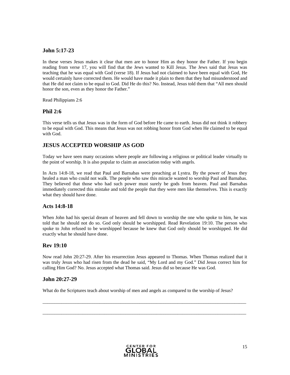### **John 5:17-23**

In these verses Jesus makes it clear that men are to honor Him as they honor the Father. If you begin reading from verse 17, you will find that the Jews wanted to Kill Jesus. The Jews said that Jesus was teaching that he was equal with God (verse 18). If Jesus had not claimed to have been equal with God, He would certainly have corrected them. He would have made it plain to them that they had misunderstood and that He did not claim to be equal to God. Did He do this? No. Instead, Jesus told them that "All men should honor the son, even as they honor the Father."

Read Philippians 2:6

#### **Phil 2:6**

This verse tells us that Jesus was in the form of God before He came to earth. Jesus did not think it robbery to be equal with God. This means that Jesus was not robbing honor from God when He claimed to be equal with God.

### **JESUS ACCEPTED WORSHIP AS GOD**

Today we have seen many occasions where people are following a religious or political leader virtually to the point of worship. It is also popular to claim an association today with angels.

In Acts 14:8-18, we read that Paul and Barnabas were preaching at Lystra. By the power of Jesus they healed a man who could not walk. The people who saw this miracle wanted to worship Paul and Barnabas. They believed that those who had such power must surely be gods from heaven. Paul and Barnabas immediately corrected this mistake and told the people that they were men like themselves. This is exactly what they should have done.

### **Acts 14:8-18**

When John had his special dream of heaven and fell down to worship the one who spoke to him, he was told that he should not do so. God only should be worshipped. Read Revelation 19:10. The person who spoke to John refused to be worshipped because he knew that God only should be worshipped. He did exactly what he should have done.

### **Rev 19:10**

Now read John 20:27-29. After his resurrection Jesus appeared to Thomas. When Thomas realized that it was truly Jesus who had risen from the dead he said, "My Lord and my God." Did Jesus correct him for calling Him God? No. Jesus accepted what Thomas said. Jesus did so because He was God.

\_\_\_\_\_\_\_\_\_\_\_\_\_\_\_\_\_\_\_\_\_\_\_\_\_\_\_\_\_\_\_\_\_\_\_\_\_\_\_\_\_\_\_\_\_\_\_\_\_\_\_\_\_\_\_\_\_\_\_\_\_\_\_\_\_\_\_\_\_\_\_\_\_\_\_\_\_\_\_\_\_\_\_\_\_\_

 $\_$  ,  $\_$  ,  $\_$  ,  $\_$  ,  $\_$  ,  $\_$  ,  $\_$  ,  $\_$  ,  $\_$  ,  $\_$  ,  $\_$  ,  $\_$  ,  $\_$  ,  $\_$  ,  $\_$  ,  $\_$  ,  $\_$  ,  $\_$  ,  $\_$  ,  $\_$  ,  $\_$  ,  $\_$  ,  $\_$  ,  $\_$  ,  $\_$  ,  $\_$  ,  $\_$  ,  $\_$  ,  $\_$  ,  $\_$  ,  $\_$  ,  $\_$  ,  $\_$  ,  $\_$  ,  $\_$  ,  $\_$  ,  $\_$  ,

### **John 20:27-29**

What do the Scriptures teach about worship of men and angels as compared to the worship of Jesus?

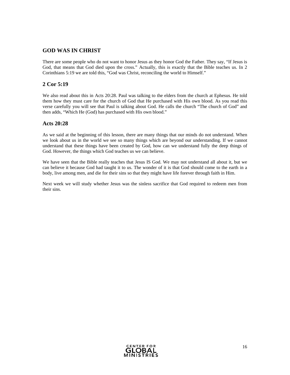### **GOD WAS IN CHRIST**

There are some people who do not want to honor Jesus as they honor God the Father. They say, "If Jesus is God, that means that God died upon the cross." Actually, this is exactly that the Bible teaches us. In 2 Corinthians 5:19 we are told this, "God was Christ, reconciling the world to Himself."

### **2 Cor 5:19**

We also read about this in Acts 20:28. Paul was talking to the elders from the church at Ephesus. He told them how they must care for the church of God that He purchased with His own blood. As you read this verse carefully you will see that Paul is talking about God. He calls the church "The church of God" and then adds, "Which He (God) has purchased with His own blood."

### **Acts 20:28**

As we said at the beginning of this lesson, there are many things that our minds do not understand. When we look about us in the world we see so many things which are beyond our understanding. If we cannot understand that these things have been created by God, how can we understand fully the deep things of God. However, the things which God teaches us we can believe.

We have seen that the Bible really teaches that Jesus IS God. We may not understand all about it, but we can believe it because God had taught it to us. The wonder of it is that God should come to the earth in a body, live among men, and die for their sins so that they might have life forever through faith in Him.

Next week we will study whether Jesus was the sinless sacrifice that God required to redeem men from their sins.

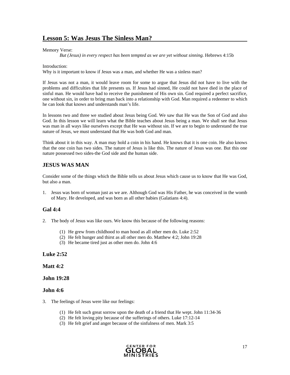#### Memory Verse:

*But (Jesus) in every respect has been tempted as we are yet without sinning.* Hebrews 4:15b

#### Introduction:

Why is it important to know if Jesus was a man, and whether He was a sinless man?

If Jesus was not a man, it would leave room for some to argue that Jesus did not have to live with the problems and difficulties that life presents us. If Jesus had sinned, He could not have died in the place of sinful man. He would have had to receive the punishment of His own sin. God required a perfect sacrifice, one without sin, in order to bring man back into a relationship with God. Man required a redeemer to which he can look that knows and understands man's life.

In lessons two and three we studied about Jesus being God. We saw that He was the Son of God and also God. In this lesson we will learn what the Bible teaches about Jesus being a man. We shall see that Jesus was man in all ways like ourselves except that He was without sin. If we are to begin to understand the true nature of Jesus, we must understand that He was both God and man.

Think about it in this way. A man may hold a coin in his hand. He knows that it is one coin. He also knows that the one coin has two sides. The nature of Jesus is like this. The nature of Jesus was one. But this one nature possessed two sides-the God side and the human side.

### **JESUS WAS MAN**

Consider some of the things which the Bible tells us about Jesus which cause us to know that He was God, but also a man.

1. Jesus was born of woman just as we are. Although God was His Father, he was conceived in the womb of Mary. He developed, and was born as all other babies (Galatians 4:4).

### **Gal 4:4**

- 2. The body of Jesus was like ours. We know this because of the following reasons:
	- (1) He grew from childhood to man hood as all other men do. Luke 2:52
	- (2) He felt hunger and thirst as all other men do. Matthew 4:2; John 19:28
	- (3) He became tired just as other men do. John 4:6

#### **Luke 2:52**

#### **Matt 4:2**

#### **John 19:28**

#### **John 4:6**

- 3. The feelings of Jesus were like our feelings:
	- (1) He felt such great sorrow upon the death of a friend that He wept. John 11:34-36
	- (2) He felt loving pity because of the sufferings of others. Luke 17:12-14
	- (3) He felt grief and anger because of the sinfulness of men. Mark 3:5

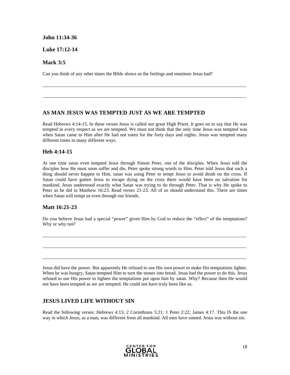### **John 11:34-36**

### **Luke 17:12-14**

### **Mark 3:5**

Can you think of any other times the Bible shows us the feelings and emotions Jesus had?

### **AS MAN JESUS WAS TEMPTED JUST AS WE ARE TEMPTED**

Read Hebrews 4:14-15. In these verses Jesus is called our great High Priest. It goes on to say that He was tempted in every respect as we are tempted. We must not think that the only time Jesus was tempted was when Satan came to Him after He had not eaten for the forty days and nights. Jesus was tempted many different times in many different ways.

 $\_$  ,  $\_$  ,  $\_$  ,  $\_$  ,  $\_$  ,  $\_$  ,  $\_$  ,  $\_$  ,  $\_$  ,  $\_$  ,  $\_$  ,  $\_$  ,  $\_$  ,  $\_$  ,  $\_$  ,  $\_$  ,  $\_$  ,  $\_$  ,  $\_$  ,  $\_$  ,  $\_$  ,  $\_$  ,  $\_$  ,  $\_$  ,  $\_$  ,  $\_$  ,  $\_$  ,  $\_$  ,  $\_$  ,  $\_$  ,  $\_$  ,  $\_$  ,  $\_$  ,  $\_$  ,  $\_$  ,  $\_$  ,  $\_$  ,

\_\_\_\_\_\_\_\_\_\_\_\_\_\_\_\_\_\_\_\_\_\_\_\_\_\_\_\_\_\_\_\_\_\_\_\_\_\_\_\_\_\_\_\_\_\_\_\_\_\_\_\_\_\_\_\_\_\_\_\_\_\_\_\_\_\_\_\_\_\_\_\_\_\_\_\_\_\_\_\_\_\_\_\_\_\_

### **Heb 4:14-15**

At one time satan even tempted Jesus through Simon Peter, one of the disciples. When Jesus told the disciples how He must soon suffer and die, Peter spoke strong words to Him. Peter told Jesus that such a thing should never happen to Him. satan was using Peter to tempt Jesus to avoid death on the cross. If Satan could have gotten Jesus to escape dying on the cross there would have been no salvation for mankind. Jesus understood exactly what Satan was trying to do through Peter. That is why He spoke to Peter as he did in Matthew 16:23. Read verses 21-23. All of us should understand this. There are times when Satan will tempt us even through our friends.

### **Matt 16:21-23**

Do you believe Jesus had a special "power" given Him by God to reduce the "effect" of the temptations? Why or why not?

\_\_\_\_\_\_\_\_\_\_\_\_\_\_\_\_\_\_\_\_\_\_\_\_\_\_\_\_\_\_\_\_\_\_\_\_\_\_\_\_\_\_\_\_\_\_\_\_\_\_\_\_\_\_\_\_\_\_\_\_\_\_\_\_\_\_\_\_\_\_\_\_\_\_\_\_\_\_\_\_\_\_\_\_\_\_

 $\_$  ,  $\_$  ,  $\_$  ,  $\_$  ,  $\_$  ,  $\_$  ,  $\_$  ,  $\_$  ,  $\_$  ,  $\_$  ,  $\_$  ,  $\_$  ,  $\_$  ,  $\_$  ,  $\_$  ,  $\_$  ,  $\_$  ,  $\_$  ,  $\_$  ,  $\_$  ,  $\_$  ,  $\_$  ,  $\_$  ,  $\_$  ,  $\_$  ,  $\_$  ,  $\_$  ,  $\_$  ,  $\_$  ,  $\_$  ,  $\_$  ,  $\_$  ,  $\_$  ,  $\_$  ,  $\_$  ,  $\_$  ,  $\_$  ,

 $\_$  ,  $\_$  ,  $\_$  ,  $\_$  ,  $\_$  ,  $\_$  ,  $\_$  ,  $\_$  ,  $\_$  ,  $\_$  ,  $\_$  ,  $\_$  ,  $\_$  ,  $\_$  ,  $\_$  ,  $\_$  ,  $\_$  ,  $\_$  ,  $\_$  ,  $\_$  ,  $\_$  ,  $\_$  ,  $\_$  ,  $\_$  ,  $\_$  ,  $\_$  ,  $\_$  ,  $\_$  ,  $\_$  ,  $\_$  ,  $\_$  ,  $\_$  ,  $\_$  ,  $\_$  ,  $\_$  ,  $\_$  ,  $\_$  ,

Jesus did have the power. But apparently He refused to use His own power to make His temptations lighter. When he was hungry, Satan tempted Him to turn the stones into bread. Jesus had the power to do this. Jesus refused to use His power to lighten the temptations put upon him by satan. Why? Because then He would not have been tempted as we are tempted. He could not have truly been like us.

### **JESUS LIVED LIFE WITHOUT SIN**

Read the following verses: Hebrews 4:15; 2 Corinthians 5:21; 1 Peter 2:22; James 4:17. This IS the one way in which Jesus, as a man, was different from all mankind. All men have sinned. Jesus was without sin.

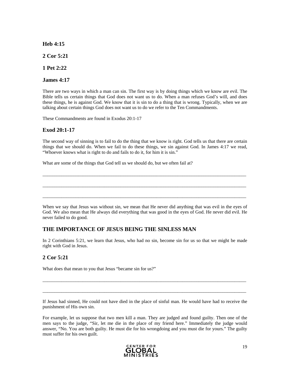**Heb 4:15** 

**2 Cor 5:21** 

**1 Pet 2:22** 

**James 4:17** 

There are two ways in which a man can sin. The first way is by doing things which we know are evil. The Bible tells us certain things that God does not want us to do. When a man refuses God's will, and does these things, he is against God. We know that it is sin to do a thing that is wrong. Typically, when we are talking about certain things God does not want us to do we refer to the Ten Commandments.

These Commandments are found in Exodus 20:1-17

### **Exod 20:1-17**

The second way of sinning is to fail to do the thing that we know is right. God tells us that there are certain things that we should do. When we fail to do these things, we sin against God. In James 4:17 we read, "Whoever knows what is right to do and fails to do it, for him it is sin."

 $\_$  ,  $\_$  ,  $\_$  ,  $\_$  ,  $\_$  ,  $\_$  ,  $\_$  ,  $\_$  ,  $\_$  ,  $\_$  ,  $\_$  ,  $\_$  ,  $\_$  ,  $\_$  ,  $\_$  ,  $\_$  ,  $\_$  ,  $\_$  ,  $\_$  ,  $\_$  ,  $\_$  ,  $\_$  ,  $\_$  ,  $\_$  ,  $\_$  ,  $\_$  ,  $\_$  ,  $\_$  ,  $\_$  ,  $\_$  ,  $\_$  ,  $\_$  ,  $\_$  ,  $\_$  ,  $\_$  ,  $\_$  ,  $\_$  ,

\_\_\_\_\_\_\_\_\_\_\_\_\_\_\_\_\_\_\_\_\_\_\_\_\_\_\_\_\_\_\_\_\_\_\_\_\_\_\_\_\_\_\_\_\_\_\_\_\_\_\_\_\_\_\_\_\_\_\_\_\_\_\_\_\_\_\_\_\_\_\_\_\_\_\_\_\_\_\_\_\_\_\_\_\_\_

 $\_$  ,  $\_$  ,  $\_$  ,  $\_$  ,  $\_$  ,  $\_$  ,  $\_$  ,  $\_$  ,  $\_$  ,  $\_$  ,  $\_$  ,  $\_$  ,  $\_$  ,  $\_$  ,  $\_$  ,  $\_$  ,  $\_$  ,  $\_$  ,  $\_$  ,  $\_$  ,  $\_$  ,  $\_$  ,  $\_$  ,  $\_$  ,  $\_$  ,  $\_$  ,  $\_$  ,  $\_$  ,  $\_$  ,  $\_$  ,  $\_$  ,  $\_$  ,  $\_$  ,  $\_$  ,  $\_$  ,  $\_$  ,  $\_$  ,

What are some of the things that God tell us we should do, but we often fail at?

When we say that Jesus was without sin, we mean that He never did anything that was evil in the eyes of God. We also mean that He always did everything that was good in the eyes of God. He never did evil. He never failed to do good.

### **THE IMPORTANCE OF JESUS BEING THE SINLESS MAN**

In 2 Corinthians 5:21, we learn that Jesus, who had no sin, become sin for us so that we might be made right with God in Jesus.

### **2 Cor 5:21**

What does that mean to you that Jesus "became sin for us?"

If Jesus had sinned, He could not have died in the place of sinful man. He would have had to receive the punishment of His own sin.

 $\_$  ,  $\_$  ,  $\_$  ,  $\_$  ,  $\_$  ,  $\_$  ,  $\_$  ,  $\_$  ,  $\_$  ,  $\_$  ,  $\_$  ,  $\_$  ,  $\_$  ,  $\_$  ,  $\_$  ,  $\_$  ,  $\_$  ,  $\_$  ,  $\_$  ,  $\_$  ,  $\_$  ,  $\_$  ,  $\_$  ,  $\_$  ,  $\_$  ,  $\_$  ,  $\_$  ,  $\_$  ,  $\_$  ,  $\_$  ,  $\_$  ,  $\_$  ,  $\_$  ,  $\_$  ,  $\_$  ,  $\_$  ,  $\_$  ,

 $\_$  ,  $\_$  ,  $\_$  ,  $\_$  ,  $\_$  ,  $\_$  ,  $\_$  ,  $\_$  ,  $\_$  ,  $\_$  ,  $\_$  ,  $\_$  ,  $\_$  ,  $\_$  ,  $\_$  ,  $\_$  ,  $\_$  ,  $\_$  ,  $\_$  ,  $\_$  ,  $\_$  ,  $\_$  ,  $\_$  ,  $\_$  ,  $\_$  ,  $\_$  ,  $\_$  ,  $\_$  ,  $\_$  ,  $\_$  ,  $\_$  ,  $\_$  ,  $\_$  ,  $\_$  ,  $\_$  ,  $\_$  ,  $\_$  ,

For example, let us suppose that two men kill a man. They are judged and found guilty. Then one of the men says to the judge, "Sir, let me die in the place of my friend here." Immediately the judge would answer, "No. You are both guilty. He must die for his wrongdoing and you must die for yours." The guilty must suffer for his own guilt.

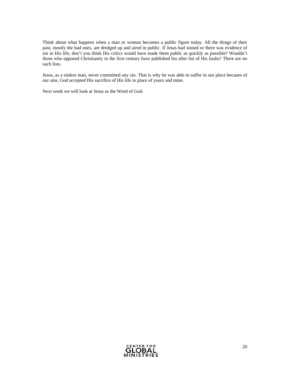Think about what happens when a man or woman becomes a public figure today. All the things of their past, mostly the bad ones, are dredged up and aired in public. If Jesus had sinned or there was evidence of sin in His life, don't you think His critics would have made them public as quickly as possible? Wouldn't those who opposed Christianity in the first century have published list after list of His faults? There are no such lists.

Jesus, as a sinless man, never committed any sin. That is why he was able to suffer in our place becaues of our sins. God accepted His sacrifice of His life in place of yours and mine.

Next week we will look at Jesus as the Word of God.

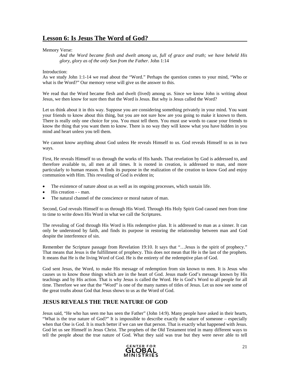### **Lesson 6: Is Jesus The Word of God?**

#### Memory Verse:

*And the Word became flesh and dwelt among us, full of grace and truth; we have beheld His glory, glory as of the only Son from the Father.* John 1:14

#### Introduction:

As we study John 1:1-14 we read about the "Word." Perhaps the question comes to your mind, "Who or what is the Word?" Our memory verse will give us the answer to this.

We read that the Word became flesh and dwelt (lived) among us. Since we know John is writing about Jesus, we then know for sure then that the Word is Jesus. But why is Jesus called the Word?

Let us think about it in this way. Suppose you are considering something privately in your mind. You want your friends to know about this thing, but you are not sure how are you going to make it known to them. There is really only one choice for you. You must tell them. You must use words to cause your friends to know the thing that you want them to know. There is no way they will know what you have hidden in you mind and heart unless you tell them.

We cannot know anything about God unless He reveals Himself to us. God reveals Himself to us in two ways.

First, He reveals Himself to us through the works of His hands. That revelation by God is addressed to, and therefore available to, all men at all times. It is rooted in creation, is addressed to man, and more particularly to human reason. It finds its purpose in the realization of the creation to know God and enjoy communion with Him. This revealing of God is evident in;

- The existence of nature about us as well as its ongoing processes, which sustain life.
- His creation - man.
- The natural channel of the conscience or moral nature of man.

Second, God reveals Himself to us through His Word. Through His Holy Spirit God caused men from time to time to write down His Word in what we call the Scriptures.

The revealing of God through His Word is His redemptive plan. It is addressed to man as a sinner. It can only be understood by faith, and finds its purpose in restoring the relationship between man and God despite the interference of sin.

Remember the Scripture passage from Revelation 19:10. It says that "…Jesus is the spirit of prophecy." That means that Jesus is the fulfillment of prophecy. This does not mean that He is the last of the prophets. It means that He is the living Word of God. He is the entirety of the redemptive plan of God.

God sent Jesus, the Word, to make His message of redemption from sin known to men. It is Jesus who causes us to know those things which are in the heart of God. Jesus made God's message known by His teachings and by His action. That is why Jesus is called the Word. He is God's Word to all people for all time. Therefore we see that the "Word" is one of the many names of titles of Jesus. Let us now see some of the great truths about God that Jesus shows to us as the Word of God.

### **JESUS REVEALS THE TRUE NATURE OF GOD**

Jesus said, "He who has seen me has seen the Father" (John 14:9). Many people have asked in their hearts, "What is the true nature of God?" It is impossible to describe exactly the nature of someone – especially when that One is God. It is much better if we can see that person. That is exactly what happened with Jesus. God let us see Himself in Jesus Christ. The prophets of the Old Testament tried in many different ways to tell the people about the true nature of God. What they said was true but they were never able to tell

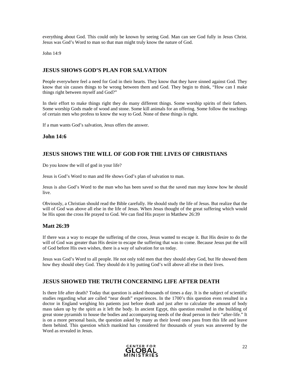everything about God. This could only be known by seeing God. Man can see God fully in Jesus Christ. Jesus was God's Word to man so that man might truly know the nature of God.

John 14:9

### **JESUS SHOWS GOD'S PLAN FOR SALVATION**

People everywhere feel a need for God in their hearts. They know that they have sinned against God. They know that sin causes things to be wrong between them and God. They begin to think, "How can I make things right between myself and God?"

In their effort to make things right they do many different things. Some worship spirits of their fathers. Some worship Gods made of wood and stone. Some kill animals for an offering. Some follow the teachings of certain men who profess to know the way to God. None of these things is right.

If a man wants God's salvation, Jesus offers the answer.

### **John 14:6**

### **JESUS SHOWS THE WILL OF GOD FOR THE LIVES OF CHRISTIANS**

Do you know the will of god in your life?

Jesus is God's Word to man and He shows God's plan of salvation to man.

Jesus is also God's Word to the man who has been saved so that the saved man may know how he should live.

Obviously, a Christian should read the Bible carefully. He should study the life of Jesus. But realize that the will of God was above all else in the life of Jesus. When Jesus thought of the great suffering which would be His upon the cross He prayed to God. We can find His prayer in Matthew 26:39

### **Matt 26:39**

If there was a way to escape the suffering of the cross, Jesus wanted to escape it. But His desire to do the will of God was greater than His desire to escape the suffering that was to come. Because Jesus put the will of God before His own wishes, there is a way of salvation for us today.

Jesus was God's Word to all people. He not only told men that they should obey God, but He showed them how they should obey God. They should do it by putting God's will above all else in their lives.

### **JESUS SHOWED THE TRUTH CONCERNING LIFE AFTER DEATH**

Is there life after death? Today that question is asked thousands of times a day. It is the subject of scientific studies regarding what are called "near death" experiences. In the 1700's this question even resulted in a doctor in England weighing his patients just before death and just after to calculate the amount of body mass taken up by the spirit as it left the body. In ancient Egypt, this question resulted in the building of great stone pyramids to house the bodies and accompanying needs of the dead person in their "after-life." It is on a more personal basis, the question asked by many as their loved ones pass from this life and leave them behind. This question which mankind has considered for thousands of years was answered by the Word as revealed in Jesus.

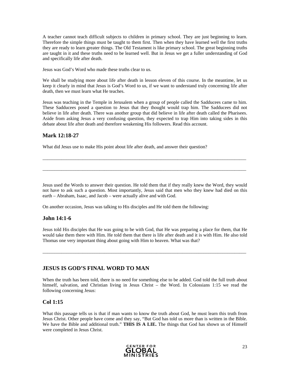A teacher cannot teach difficult subjects to children in primary school. They are just beginning to learn. Therefore the simple things must be taught to them first. Then when they have learned well the first truths they are ready to learn greater things. The Old Testament is like primary school. The great beginning truths are taught in it and these truths need to be learned well. But in Jesus we get a fuller understanding of God and specifically life after death.

Jesus was God's Word who made these truths clear to us.

We shall be studying more about life after death in lesson eleven of this course. In the meantime, let us keep it clearly in mind that Jesus is God's Word to us, if we want to understand truly concerning life after death, then we must learn what He teaches.

Jesus was teaching in the Temple in Jerusalem when a group of people called the Sadducees came to him. These Sadducees posed a question to Jesus that they thought would trap him. The Sadducees did not believe in life after death. There was another group that did believe in life after death called the Pharisees. Aside from asking Jesus a very confusing question, they expected to trap Him into taking sides in this debate about life after death and therefore weakening His followers. Read this account.

### **Mark 12:18-27**

What did Jesus use to make His point about life after death, and answer their question?

Jesus used the Words to answer their question. He told them that if they really knew the Word, they would not have to ask such a question. Most importantly, Jesus said that men who they knew had died on this earth – Abraham, Isaac, and Jacob – were actually alive and with God.

 $\_$  ,  $\_$  ,  $\_$  ,  $\_$  ,  $\_$  ,  $\_$  ,  $\_$  ,  $\_$  ,  $\_$  ,  $\_$  ,  $\_$  ,  $\_$  ,  $\_$  ,  $\_$  ,  $\_$  ,  $\_$  ,  $\_$  ,  $\_$  ,  $\_$  ,  $\_$  ,  $\_$  ,  $\_$  ,  $\_$  ,  $\_$  ,  $\_$  ,  $\_$  ,  $\_$  ,  $\_$  ,  $\_$  ,  $\_$  ,  $\_$  ,  $\_$  ,  $\_$  ,  $\_$  ,  $\_$  ,  $\_$  ,  $\_$  ,

\_\_\_\_\_\_\_\_\_\_\_\_\_\_\_\_\_\_\_\_\_\_\_\_\_\_\_\_\_\_\_\_\_\_\_\_\_\_\_\_\_\_\_\_\_\_\_\_\_\_\_\_\_\_\_\_\_\_\_\_\_\_\_\_\_\_\_\_\_\_\_\_\_\_\_\_\_\_\_\_\_\_\_\_\_\_

On another occasion, Jesus was talking to His disciples and He told them the following:

### **John 14:1-6**

Jesus told His disciples that He was going to be with God, that He was preparing a place for them, that He would take them there with Him. He told them that there is life after death and it is with Him. He also told Thomas one very important thing about going with Him to heaven. What was that?

\_\_\_\_\_\_\_\_\_\_\_\_\_\_\_\_\_\_\_\_\_\_\_\_\_\_\_\_\_\_\_\_\_\_\_\_\_\_\_\_\_\_\_\_\_\_\_\_\_\_\_\_\_\_\_\_\_\_\_\_\_\_\_\_\_\_\_\_\_\_\_\_\_\_\_\_\_\_\_\_\_\_\_\_\_\_

### **JESUS IS GOD'S FINAL WORD TO MAN**

When the truth has been told, there is no need for something else to be added. God told the full truth about himself, salvation, and Christian living in Jesus Christ – the Word. In Colossians 1:15 we read the following concerning Jesus:

### **Col 1:15**

What this passage tells us is that if man wants to know the truth about God, he must learn this truth from Jesus Christ. Other people have come and they say, "But God has told us more than is written in the Bible. We have the Bible and additional truth." **THIS IS A LIE.** The things that God has shown us of Himself were completed in Jesus Christ.

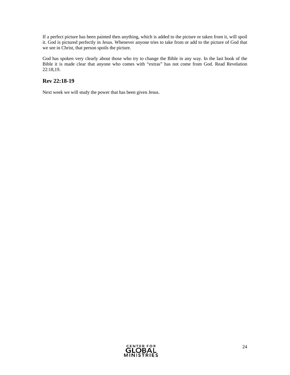If a perfect picture has been painted then anything, which is added to the picture or taken from it, will spoil it. God is pictured perfectly in Jesus. Whenever anyone tries to take from or add to the picture of God that we see in Christ, that person spoils the picture.

God has spoken very clearly about those who try to change the Bible in any way. In the last book of the Bible it is made clear that anyone who comes with "extras" has not come from God. Read Revelation 22:18,19.

### **Rev 22:18-19**

Next week we will study the power that has been given Jesus.

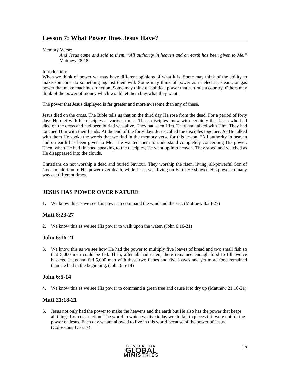### **Lesson 7: What Power Does Jesus Have?**

Memory Verse:

*And Jesus came and said to them, "All authority in heaven and on earth has been given to Me."*  Matthew 28:18

#### Introduction:

When we think of power we may have different opinions of what it is. Some may think of the ability to make someone do something against their will. Some may think of power as in electric, steam, or gas power that make machines function. Some may think of political power that can rule a country. Others may think of the power of money which would let them buy what they want.

The power that Jesus displayed is far greater and more awesome than any of these.

Jesus died on the cross. The Bible tells us that on the third day He rose from the dead. For a period of forty days He met with his disciples at various times. These disciples knew with certainty that Jesus who had died on the cross and had been buried was alive. They had seen Him. They had talked with Him. They had touched Him with their hands. At the end of the forty days Jesus called the disciples together. As He talked with them He spoke the words that we find in the memory verse for this lesson, "All authority in heaven and on earth has been given to Me." He wanted them to understand completely concerning His power. Then, when He had finished speaking to the disciples, He went up into heaven. They stood and watched as He disappeared into the clouds.

Christians do not worship a dead and buried Saviour. They worship the risen, living, all-powerful Son of God. In addition to His power over death, while Jesus was living on Earth He showed His power in many ways at different times.

### **JESUS HAS POWER OVER NATURE**

1. We know this as we see His power to command the wind and the sea. (Matthew 8:23-27)

### **Matt 8:23-27**

2. We know this as we see His power to walk upon the water. (John 6:16-21)

### **John 6:16-21**

3. We know this as we see how He had the power to multiply five loaves of bread and two small fish so that 5,000 men could be fed. Then, after all had eaten, there remained enough food to fill twelve baskets. Jesus had fed 5,000 men with these two fishes and five loaves and yet more food remained than He had in the beginning. (John 6:5-14)

### **John 6:5-14**

4. We know this as we see His power to command a green tree and cause it to dry up (Matthew 21:18-21)

### **Matt 21:18-21**

5. Jesus not only had the power to make the heavens and the earth but He also has the power that keeps all things from destruction. The world in which we live today would fall to pieces if it were not for the power of Jesus. Each day we are allowed to live in this world because of the power of Jesus. (Colossians 1:16,17)

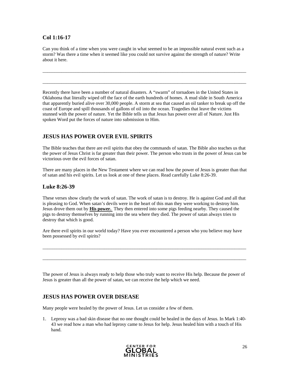### **Col 1:16-17**

Can you think of a time when you were caught in what seemed to be an impossible natural event such as a storm? Was there a time when it seemed like you could not survive against the strength of nature? Write about it here.

\_\_\_\_\_\_\_\_\_\_\_\_\_\_\_\_\_\_\_\_\_\_\_\_\_\_\_\_\_\_\_\_\_\_\_\_\_\_\_\_\_\_\_\_\_\_\_\_\_\_\_\_\_\_\_\_\_\_\_\_\_\_\_\_\_\_\_\_\_\_\_\_\_\_\_\_\_\_\_\_\_\_\_\_\_\_

 $\_$  ,  $\_$  ,  $\_$  ,  $\_$  ,  $\_$  ,  $\_$  ,  $\_$  ,  $\_$  ,  $\_$  ,  $\_$  ,  $\_$  ,  $\_$  ,  $\_$  ,  $\_$  ,  $\_$  ,  $\_$  ,  $\_$  ,  $\_$  ,  $\_$  ,  $\_$  ,  $\_$  ,  $\_$  ,  $\_$  ,  $\_$  ,  $\_$  ,  $\_$  ,  $\_$  ,  $\_$  ,  $\_$  ,  $\_$  ,  $\_$  ,  $\_$  ,  $\_$  ,  $\_$  ,  $\_$  ,  $\_$  ,  $\_$  ,

Recently there have been a number of natural disasters. A "swarm" of tornadoes in the United States in Oklahoma that literally wiped off the face of the earth hundreds of homes. A mud slide in South America that apparently buried alive over 30,000 people. A storm at sea that caused an oil tanker to break up off the coast of Europe and spill thousands of gallons of oil into the ocean. Tragedies that leave the victims stunned with the power of nature. Yet the Bible tells us that Jesus has power over all of Nature. Just His spoken Word put the forces of nature into submission to Him.

### **JESUS HAS POWER OVER EVIL SPIRITS**

The Bible teaches that there are evil spirits that obey the commands of satan. The Bible also teaches us that the power of Jesus Christ is far greater than their power. The person who trusts in the power of Jesus can be victorious over the evil forces of satan.

There are many places in the New Testament where we can read how the power of Jesus is greater than that of satan and his evil spirits. Let us look at one of these places. Read carefully Luke 8:26-39.

### **Luke 8:26-39**

These verses show clearly the work of satan. The work of satan is to destroy. He is against God and all that is pleasing to God. When satan's devils were in the heart of this man they were working to destroy him. Jesus drove them out by **His power.** They then entered into some pigs feeding nearby. They caused the pigs to destroy themselves by running into the sea where they died. The power of satan always tries to destroy that which is good.

Are there evil spirits in our world today? Have you ever encountered a person who you believe may have been possessed by evil spirits?

 $\_$  ,  $\_$  ,  $\_$  ,  $\_$  ,  $\_$  ,  $\_$  ,  $\_$  ,  $\_$  ,  $\_$  ,  $\_$  ,  $\_$  ,  $\_$  ,  $\_$  ,  $\_$  ,  $\_$  ,  $\_$  ,  $\_$  ,  $\_$  ,  $\_$  ,  $\_$  ,  $\_$  ,  $\_$  ,  $\_$  ,  $\_$  ,  $\_$  ,  $\_$  ,  $\_$  ,  $\_$  ,  $\_$  ,  $\_$  ,  $\_$  ,  $\_$  ,  $\_$  ,  $\_$  ,  $\_$  ,  $\_$  ,  $\_$  ,

 $\_$  ,  $\_$  ,  $\_$  ,  $\_$  ,  $\_$  ,  $\_$  ,  $\_$  ,  $\_$  ,  $\_$  ,  $\_$  ,  $\_$  ,  $\_$  ,  $\_$  ,  $\_$  ,  $\_$  ,  $\_$  ,  $\_$  ,  $\_$  ,  $\_$  ,  $\_$  ,  $\_$  ,  $\_$  ,  $\_$  ,  $\_$  ,  $\_$  ,  $\_$  ,  $\_$  ,  $\_$  ,  $\_$  ,  $\_$  ,  $\_$  ,  $\_$  ,  $\_$  ,  $\_$  ,  $\_$  ,  $\_$  ,  $\_$  ,

The power of Jesus is always ready to help those who truly want to receive His help. Because the power of Jesus is greater than all the power of satan, we can receive the help which we need.

### **JESUS HAS POWER OVER DISEASE**

Many people were healed by the power of Jesus. Let us consider a few of them.

1. Leprosy was a bad skin disease that no one thought could be healed in the days of Jesus. In Mark 1:40- 43 we read how a man who had leprosy came to Jesus for help. Jesus healed him with a touch of His hand.

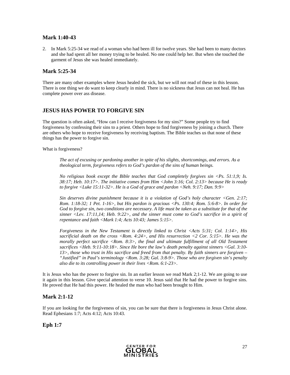### **Mark 1:40-43**

2. In Mark 5:25-34 we read of a woman who had been ill for twelve years. She had been to many doctors and she had spent all her money trying to be healed. No one could help her. But when she touched the garment of Jesus she was healed immediately.

### **Mark 5:25-34**

There are many other examples where Jesus healed the sick, but we will not read of these in this lesson. There is one thing we do want to keep clearly in mind. There is no sickness that Jesus can not heal. He has complete power over ass disease.

### **JESUS HAS POWER TO FORGIVE SIN**

The question is often asked, "How can I receive forgiveness for my sins?" Some people try to find forgiveness by confessing their sins to a priest. Others hope to find forgiveness by joining a church. There are others who hope to receive forgiveness by receiving baptism. The Bible teaches us that none of these things has the power to forgive sin.

What is forgiveness?

*The act of excusing or pardoning another in spite of his slights, shortcomings, and errors. As a theological term, forgiveness refers to God's pardon of the sins of human beings.* 

*No religious book except the Bible teaches that God completely forgives sin <Ps. 51:1,9; Is. 38:17; Heb. 10:17>. The initiative comes from Him <John 3:16; Col. 2:13> because He is ready to forgive <Luke 15:11-32>. He is a God of grace and pardon <Neh. 9:17; Dan. 9:9>* 

*Sin deserves divine punishment because it is a violation of God's holy character <Gen. 2:17; Rom. 1:18-32; 1 Pet. 1-16>, but His pardon is gracious <Ps. 130:4; Rom. 5:6-8>. In order for God to forgive sin, two conditions are necessary. A life must be taken as a substitute for that of the sinner <Lev. 17:11,14; Heb. 9:22>, and the sinner must come to God's sacrifice in a spirit of repentance and faith <Mark 1:4; Acts 10:43; James 5:15>.* 

*Forgiveness in the New Testament is directly linked to Christ <Acts 5:31; Col. 1:14>, His sacrificial death on the cross <Rom. 4:24>, and His resurrection <2 Cor. 5:15>. He was the morally perfect sacrifice <Rom. 8:3>, the final and ultimate fulfillment of all Old Testament sacrifices <Heb. 9:11-10:18>. Since He bore the law's death penalty against sinners <Gal. 3:10- 13>, those who trust in His sacrifice and freed from that penalty. By faith sinners are forgiven – "Justified" in Paul's terminology <Rom. 3:28; Gal. 3:8-9>. Those who are forgiven sin's penalty also die to its controlling power in their lives <Rom. 6:1-23>.* 

It is Jesus who has the power to forgive sin. In an earlier lesson we read Mark 2;1-12. We are going to use it again in this lesson. Give special attention to verse 10. Jesus said that He had the power to forgive sins. He proved that He had this power. He healed the man who had been brought to Him.

### **Mark 2:1-12**

If you are looking for the forgiveness of sin, you can be sure that there is forgiveness in Jesus Christ alone. Read Ephesians 1:7; Acts 4:12; Acts 10:43.

**Eph 1:7** 

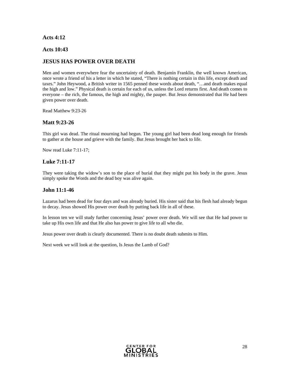### **Acts 4:12**

### **Acts 10:43**

### **JESUS HAS POWER OVER DEATH**

Men and women everywhere fear the uncertainty of death. Benjamin Franklin, the well known American, once wrote a friend of his a letter in which he stated, "There is nothing certain in this life, except death and taxes." John Heywood, a British writer in 1565 penned these words about death, "…and death makes equal the high and low." Physical death is certain for each of us, unless the Lord returns first. And death comes to everyone – the rich, the famous, the high and mighty, the pauper. But Jesus demonstrated that He had been given power over death.

Read Matthew 9:23-26

### **Matt 9:23-26**

This girl was dead. The ritual mourning had begun. The young girl had been dead long enough for friends to gather at the house and grieve with the family. But Jesus brought her back to life.

Now read Luke 7:11-17;

### **Luke 7:11-17**

They were taking the widow's son to the place of burial that they might put his body in the grave. Jesus simply spoke the Words and the dead boy was alive again.

### **John 11:1-46**

Lazarus had been dead for four days and was already buried. His sister said that his flesh had already begun to decay. Jesus showed His power over death by putting back life in all of these.

In lesson ten we will study further concerning Jesus' power over death. We will see that He had power to take up His own life and that He also has power to give life to all who die.

Jesus power over death is clearly documented. There is no doubt death submits to Him.

Next week we will look at the question, Is Jesus the Lamb of God?

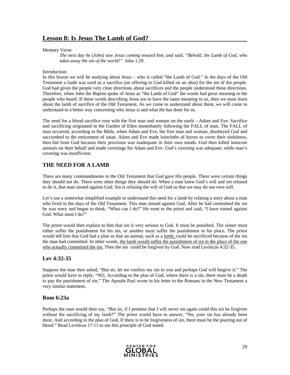### **Lesson 8: Is Jesus The Lamb of God?**

#### Memory Verse:

*The next day he (John) saw Jesus coming toward him, and said, "Behold, the Lamb of God, who takes away the sin of the world!"* John 1:29

#### Introduction:

In this lesson we will be studying about Jesus – who is called "the Lamb of God." In the days of the Old Testament a lamb was used as a sacrifice (an offering to God killed on an altar) for the sin of the people. God had given the people very clear directions about sacrifices and the people understood these directions. Therefore, when John the Baptist spoke of Jesus as "the Lamb of God" the words had great meaning to the people who heard. If these words describing Jesus are to have the same meaning to us, then we must learn about the lamb of sacrifice of the Old Testament. As we come to understand about them, we will come to understand in a better way concerning who Jesus is and what He has done for us.

The need for a blood sacrifice rose with the first man and woman on the earth – Adam and Eve. Sacrifice and sacrificing originated in the Garden of Eden immediately following the FALL of man. The FALL of man occurred, according to the Bible, when Adam and Eve, the first man and woman, disobeyed God and succumbed to the enticement of satan. Adam and Eve made loincloths of leaves to cover their sinfulness, then hid from God because their provision was inadequate in their own minds. God then killed innocent animals on their behalf and made coverings for Adam and Eve. God's covering was adequate, while man's covering was insufficient.

### **THE NEED FOR A LAMB**

There are many commandments in the Old Testament that God gave His people. There were certain things they should not do. There were other things they should do. When a man knew God's will and yet refused to do it, that man sinned against God. Sin is refusing the will of God so that we may do our own will.

Let's use a somewhat simplified example to understand this need for a lamb by relating a story about a man who lived in the days of the Old Testament. This man sinned against God. After he had committed the sin he was sorry and began to think, "What can I do?" He went to the priest and said, "I have sinned against God. What must I do?"

The priest would then explain to him that sin is very serious to God. It must be punished. The sinner must either suffer the punishment for his sin, or another must suffer the punishment in his place. The priest would tell him that God had a plan so that an animal, such as a lamb, could be sacrificed because of the sin the man had committed. In other words, the lamb would suffer the punishment of sin in the place of the one who actually committed the sin. Then the sin could be forgiven by God. Now read Leviticus 4:32-35.

### **Lev 4:32-35**

Suppose the man then asked, "But sir, let me confess my sin to you and perhaps God will forgive it." The priest would have to reply, "NO, According to the plan of God, where there is a sin, there must be a death to pay the punishment of sin." The Apostle Paul wrote in his letter to the Romans in the New Testament a very similar statement.

### **Rom 6:23a**

Perhaps the man would then say, "But sir, if I promise that I will never sin again could this sin be forgiven without the sacrificing of my lamb?" The priest would have to answer, "No, your sin has already been done. And according to the plan of God, If there is to be forgiveness of sin, there must be the pouring out of blood." Read Leviticus 17:11 to see this principle of God stated.

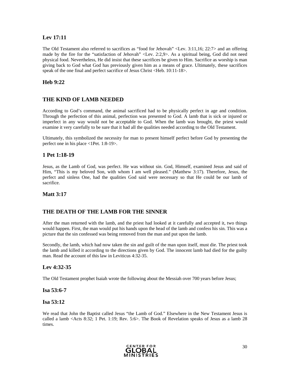### **Lev 17:11**

The Old Testament also referred to sacrifices as "food for Jehovah" <Lev. 3:11,16; 22:7> and an offering made by the fire for the "satisfaction of Jehovah" <Lev. 2:2,9>. As a spiritual being, God did not need physical food. Nevertheless, He did insist that these sacrifices be given to Him. Sacrifice as worship is man giving back to God what God has previously given him as a means of grace. Ultimately, these sacrifices speak of the one final and perfect sacrifice of Jesus Christ <Heb. 10:11-18>.

### **Heb 9:22**

### **THE KIND OF LAMB NEEDED**

According to God's command, the animal sacrificed had to be physically perfect in age and condition. Through the perfection of this animal, perfection was presented to God. A lamb that is sick or injured or imperfect in any way would not be acceptable to God. When the lamb was brought, the priest would examine it very carefully to be sure that it had all the qualities needed according to the Old Testament.

Ultimately, this symbolized the necessity for man to present himself perfect before God by presenting the perfect one in his place <1Pet. 1:8-19>.

### **1 Pet 1:18-19**

Jesus, as the Lamb of God, was perfect. He was without sin. God, Himself, examined Jesus and said of Him, "This is my beloved Son, with whom I am well pleased." (Matthew 3:17). Therefore, Jesus, the perfect and sinless One, had the qualities God said were necessary so that He could be our lamb of sacrifice.

### **Matt 3:17**

### **THE DEATH OF THE LAMB FOR THE SINNER**

After the man returned with the lamb, and the priest had looked at it carefully and accepted it, two things would happen. First, the man would put his hands upon the head of the lamb and confess his sin. This was a picture that the sin confessed was being removed from the man and put upon the lamb.

Secondly, the lamb, which had now taken the sin and guilt of the man upon itself, must die. The priest took the lamb and killed it according to the directions given by God. The innocent lamb had died for the guilty man. Read the account of this law in Leviticus 4:32-35.

### **Lev 4:32-35**

The Old Testament prophet Isaiah wrote the following about the Messiah over 700 years before Jesus;

#### **Isa 53:6-7**

### **Isa 53:12**

We read that John the Baptist called Jesus "the Lamb of God." Elsewhere in the New Testament Jesus is called a lamb <Acts 8:32; 1 Pet. 1:19; Rev. 5:6>. The Book of Revelation speaks of Jesus as a lamb 28 times.

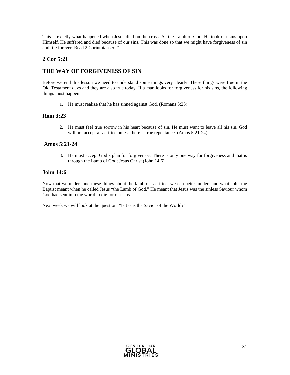This is exactly what happened when Jesus died on the cross. As the Lamb of God, He took our sins upon Himself. He suffered and died because of our sins. This was done so that we might have forgiveness of sin and life forever. Read 2 Corinthians 5:21.

### **2 Cor 5:21**

### **THE WAY OF FORGIVENESS OF SIN**

Before we end this lesson we need to understand some things very clearly. These things were true in the Old Testament days and they are also true today. If a man looks for forgiveness for his sins, the following things must happen:

1. He must realize that he has sinned against God. (Romans 3:23).

### **Rom 3:23**

2. He must feel true sorrow in his heart because of sin. He must want to leave all his sin. God will not accept a sacrifice unless there is true repentance. (Amos 5:21-24)

### **Amos 5:21-24**

3. He must accept God's plan for forgiveness. There is only one way for forgiveness and that is through the Lamb of God; Jesus Christ (John 14:6)

### **John 14:6**

Now that we understand these things about the lamb of sacrifice, we can better understand what John the Baptist meant when he called Jesus "the Lamb of God." He meant that Jesus was the sinless Saviour whom God had sent into the world to die for our sins.

Next week we will look at the question, "Is Jesus the Savior of the World?"

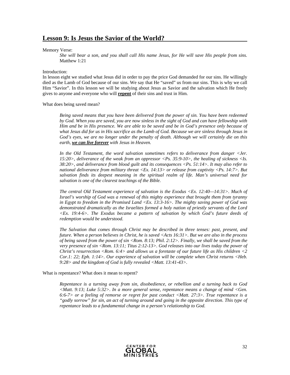### **Lesson 9: Is Jesus the Savior of the World?**

#### Memory Verse:

*She will bear a son, and you shall call His name Jesus, for He will save His people from sins.*  Matthew 1:21

#### Introduction:

In lesson eight we studied what Jesus did in order to pay the price God demanded for our sins. He willingly died as the Lamb of God because of our sins. We say that He "saved" us from our sins. This is why we call Him "Savior". In this lesson we will be studying about Jesus as Savior and the salvation which He freely gives to anyone and everyone who will **repent** of their sins and trust in Him.

What does being saved mean?

*Being saved means that you have been delivered from the power of sin. You have been redeemed by God. When you are saved, you are now sinless in the sight of God and can have fellowship with Him and be in His presence. We are able to be saved and be in God's presence only because of what Jesus did for us in His sacrifice as the Lamb of God. Because we are sinless through Jesus in God's eyes, we are no longer under the penalty of death. Although we will certainly die on this earth, we can live forever with Jesus in Heaven.* 

*In the Old Testament, the word salvation sometimes refers to deliverance from danger <Jer. 15:20>, deliverance of the weak from an oppressor <Ps. 35:9-10>, the healing of sickness <Is. 38:20>, and deliverance from blood guilt and its consequences <Ps. 51:14>. It may also refer to national deliverance from military threat <Ex. 14:13> or release from captivity <Ps. 14:7>. But salvation finds its deepest meaning in the spiritual realm of life. Man's universal need for salvation is one of the clearest teachings of the Bible.* 

*The central Old Testament experience of salvation is the Exodus <Ex. 12:40—14:31>. Much of Israel's worship of God was a renewal of this mighty experience that brought them from tyranny in Egypt to freedom in the Promised Land <Ex. 13:3-16>. The mighty saving power of God was demonstrated dramatically as the Israelites formed a holy nation of priestly servants of the Lord <Ex. 19:4-6>. The Exodus became a pattern of salvation by which God's future deeds of redemption would be understood.* 

*The Salvation that comes through Christ may be described in three tenses: past, present, and future. When a person believes in Christ, he is saved <Acts 16:31>. But we are also in the process of being saved from the power of sin <Rom. 8:13; Phil. 2:12>. Finally, we shall be saved from the very presence of sin <Rom. 13:11; Titus 2:12-13>. God releases into our lives today the power of Christ's resurrection <Rom. 6:4> and allows us a foretaste of our future life as His children <2 Cor.1: 22; Eph. 1:14>. Our experience of salvation will be complete when Christ returns <Heb. 9:28> and the kingdom of God is fully revealed <Matt. 13:41-43>.* 

What is repentance? What does it mean to repent?

*Repentance is a turning away from sin, disobedience, or rebellion and a turning back to God <Matt. 9:13; Luke 5:32>. In a more general sense, repentance means a change of mind <Gen. 6:6-7> or a feeling of remorse or regret for past conduct <Matt. 27:3>. True repentance is a "godly sorrow" for sin, an act of turning around and going in the opposite direction. This type of repentance leads to a fundamental change in a person's relationship to God.* 

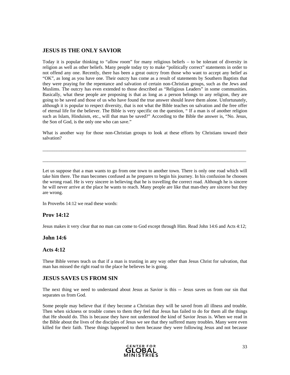### **JESUS IS THE ONLY SAVIOR**

Today it is popular thinking to "allow room" for many religious beliefs – to be tolerant of diversity in religion as well as other beliefs. Many people today try to make "politically correct" statements in order to not offend any one. Recently, there has been a great outcry from those who want to accept any belief as "OK", as long as you have one. Their outcry has come as a result of statements by Southern Baptists that they were praying for the repentance and salvation of certain non-Christian groups, such as the Jews and Muslims. The outcry has even extended to those described as "Religious Leaders" in some communities. Basically, what these people are proposing is that as long as a person belongs to any religion, they are going to be saved and those of us who have found the true answer should leave them alone. Unfortunately, although it is popular to respect diversity, that is not what the Bible teaches on salvation and the free offer of eternal life for the believer. The Bible is very specific on the question, " If a man is of another religion such as Islam, Hinduism, etc., will that man be saved?" According to the Bible the answer is, "No. Jesus, the Son of God, is the only one who can save."

What is another way for those non-Christian groups to look at these efforts by Christians toward their salvation?

 $\_$  ,  $\_$  ,  $\_$  ,  $\_$  ,  $\_$  ,  $\_$  ,  $\_$  ,  $\_$  ,  $\_$  ,  $\_$  ,  $\_$  ,  $\_$  ,  $\_$  ,  $\_$  ,  $\_$  ,  $\_$  ,  $\_$  ,  $\_$  ,  $\_$  ,  $\_$  ,  $\_$  ,  $\_$  ,  $\_$  ,  $\_$  ,  $\_$  ,  $\_$  ,  $\_$  ,  $\_$  ,  $\_$  ,  $\_$  ,  $\_$  ,  $\_$  ,  $\_$  ,  $\_$  ,  $\_$  ,  $\_$  ,  $\_$  ,

 $\_$  ,  $\_$  ,  $\_$  ,  $\_$  ,  $\_$  ,  $\_$  ,  $\_$  ,  $\_$  ,  $\_$  ,  $\_$  ,  $\_$  ,  $\_$  ,  $\_$  ,  $\_$  ,  $\_$  ,  $\_$  ,  $\_$  ,  $\_$  ,  $\_$  ,  $\_$  ,  $\_$  ,  $\_$  ,  $\_$  ,  $\_$  ,  $\_$  ,  $\_$  ,  $\_$  ,  $\_$  ,  $\_$  ,  $\_$  ,  $\_$  ,  $\_$  ,  $\_$  ,  $\_$  ,  $\_$  ,  $\_$  ,  $\_$  ,

Let us suppose that a man wants to go from one town to another town. There is only one road which will take him there. The man becomes confused as he prepares to begin his journey. In his confusion he chooses the wrong road. He is very sincere in believing that he is travelling the correct road. Although he is sincere he will never arrive at the place he wants to reach. Many people are like that man-they are sincere but they are wrong.

In Proverbs 14:12 we read these words:

### **Prov 14:12**

Jesus makes it very clear that no man can come to God except through Him. Read John 14:6 and Acts 4:12;

#### **John 14:6**

#### **Acts 4:12**

These Bible verses teach us that if a man is trusting in any way other than Jesus Christ for salvation, that man has missed the right road to the place he believes he is going.

#### **JESUS SAVES US FROM SIN**

The next thing we need to understand about Jesus as Savior is this -- Jesus saves us from our sin that separates us from God.

Some people may believe that if they become a Christian they will be saved from all illness and trouble. Then when sickness or trouble comes to them they feel that Jesus has failed to do for them all the things that He should do. This is because they have not understood the kind of Savior Jesus is. When we read in the Bible about the lives of the disciples of Jesus we see that they suffered many troubles. Many were even killed for their faith. These things happened to them because they were following Jesus and not because

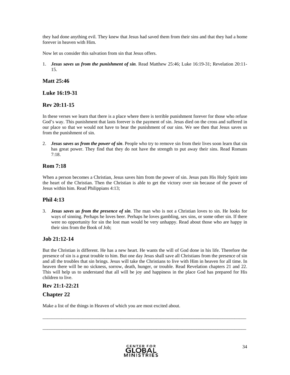they had done anything evil. They knew that Jesus had saved them from their sins and that they had a home forever in heaven with Him.

Now let us consider this salvation from sin that Jesus offers.

1. *Jesus saves us from the punishment of sin.* Read Matthew 25:46; Luke 16:19-31; Revelation 20:11- 15.

### **Matt 25:46**

### **Luke 16:19-31**

### **Rev 20:11-15**

In these verses we learn that there is a place where there is terrible punishment forever for those who refuse God's way. This punishment that lasts forever is the payment of sin. Jesus died on the cross and suffered in our place so that we would not have to bear the punishment of our sins. We see then that Jesus saves us from the punishment of sin.

2. *Jesus saves us from the power of sin*. People who try to remove sin from their lives soon learn that sin has great power. They find that they do not have the strength to put away their sins. Read Romans 7:18.

### **Rom 7:18**

When a person becomes a Christian, Jesus saves him from the power of sin. Jesus puts His Holy Spirit into the heart of the Christian. Then the Christian is able to get the victory over sin because of the power of Jesus within him. Read Philippians 4:13;

### **Phil 4:13**

3. *Jesus saves us from the presence of sin*. The man who is not a Christian loves to sin. He looks for ways of sinning. Perhaps he loves beer. Perhaps he loves gambling, sex sins, or some other sin. If there were no opportunity for sin the lost man would be very unhappy. Read about those who are happy in their sins from the Book of Job;

### **Job 21:12-14**

But the Christian is different. He has a new heart. He wants the will of God done in his life. Therefore the presence of sin is a great trouble to him. But one day Jesus shall save all Christians from the presence of sin and all the troubles that sin brings. Jesus will take the Christians to live with Him in heaven for all time. In heaven there will be no sickness, sorrow, death, hunger, or trouble. Read Revelation chapters 21 and 22. This will help us to understand that all will be joy and happiness in the place God has prepared for His children to live.

\_\_\_\_\_\_\_\_\_\_\_\_\_\_\_\_\_\_\_\_\_\_\_\_\_\_\_\_\_\_\_\_\_\_\_\_\_\_\_\_\_\_\_\_\_\_\_\_\_\_\_\_\_\_\_\_\_\_\_\_\_\_\_\_\_\_\_\_\_\_\_\_\_\_\_\_\_\_\_\_\_\_\_\_\_\_

 $\_$  ,  $\_$  ,  $\_$  ,  $\_$  ,  $\_$  ,  $\_$  ,  $\_$  ,  $\_$  ,  $\_$  ,  $\_$  ,  $\_$  ,  $\_$  ,  $\_$  ,  $\_$  ,  $\_$  ,  $\_$  ,  $\_$  ,  $\_$  ,  $\_$  ,  $\_$  ,  $\_$  ,  $\_$  ,  $\_$  ,  $\_$  ,  $\_$  ,  $\_$  ,  $\_$  ,  $\_$  ,  $\_$  ,  $\_$  ,  $\_$  ,  $\_$  ,  $\_$  ,  $\_$  ,  $\_$  ,  $\_$  ,  $\_$  ,

### **Rev 21:1-22:21**

### **Chapter 22**

Make a list of the things in Heaven of which you are most excited about.

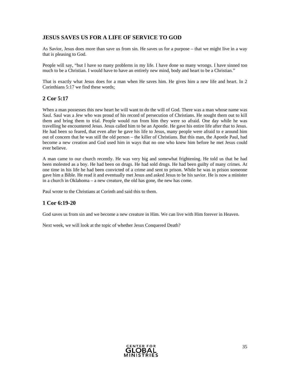### **JESUS SAVES US FOR A LIFE OF SERVICE TO GOD**

As Savior, Jesus does more than save us from sin. He saves us for a purpose – that we might live in a way that is pleasing to God.

People will say, "but I have so many problems in my life. I have done so many wrongs. I have sinned too much to be a Christian. I would have to have an entirely new mind, body and heart to be a Christian."

That is exactly what Jesus does for a man when He saves him. He gives him a new life and heart. In 2 Corinthians 5:17 we find these words;

### **2 Cor 5:17**

When a man possesses this new heart he will want to do the will of God. There was a man whose name was Saul. Saul was a Jew who was proud of his record of persecution of Christians. He sought them out to kill them and bring them to trial. People would run from him they were so afraid. One day while he was travelling he encountered Jesus. Jesus called him to be an Apostle. He gave his entire life after that to Jesus. He had been so feared, that even after he gave his life to Jesus, many people were afraid to e around him out of concern that he was still the old person – the killer of Christians. But this man, the Apostle Paul, had become a new creation and God used him in ways that no one who knew him before he met Jesus could ever believe.

A man came to our church recently. He was very big and somewhat frightening. He told us that he had been molested as a boy. He had been on drugs. He had sold drugs. He had been guilty of many crimes. At one time in his life he had been convicted of a crime and sent to prison. While he was in prison someone gave him a Bible. He read it and eventually met Jesus and asked Jesus to be his savior. He is now a minister in a church in Oklahoma – a new creature, the old has gone, the new has come.

Paul wrote to the Christians at Corinth and said this to them.

### **1 Cor 6:19-20**

God saves us from sin and we become a new creature in Him. We can live with Him forever in Heaven.

Next week, we will look at the topic of whether Jesus Conquered Death?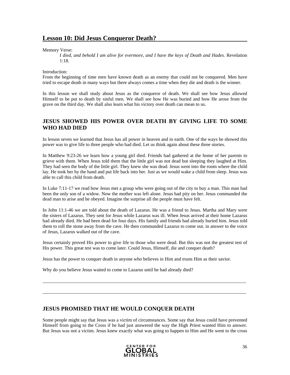### **Lesson 10: Did Jesus Conqueror Death?**

Memory Verse:

*I died, and behold I am alive for evermore, and I have the keys of Death and Hades.* Revelation 1:18.

Introduction:

From the beginning of time men have known death as an enemy that could not be conquered. Men have tried to escape death in many ways but there always comes a time when they die and death is the winner.

In this lesson we shall study about Jesus as the conqueror of death. We shall see how Jesus allowed Himself to be put to death by sinful men. We shall see how He was buried and how He arose from the grave on the third day. We shall also learn what his victory over death can mean to us.

### **JESUS SHOWED HIS POWER OVER DEATH BY GIVING LIFE TO SOME WHO HAD DIED**

In lesson seven we learned that Jesus has all power in heaven and in earth. One of the ways he showed this power was to give life to three people who had died. Let us think again about these three stories.

In Matthew 9:23-26 we learn how a young girl died. Friends had gathered at the home of her parents to grieve with them. When Jesus told them that the little girl was not dead but sleeping they laughed at Him. They had seen the body of the little girl. They knew she was dead. Jesus went into the room where the child lay. He took her by the hand and put life back into her. Just as we would wake a child from sleep. Jesus was able to call this child from death.

In Luke 7:11-17 we read how Jesus met a group who were going out of the city to buy a man. This man had been the only son of a widow. Now the mother was left alone. Jesus had pity on her. Jesus commanded the dead man to arise and he obeyed. Imagine the surprise all the people must have felt.

In John 11:1-46 we are told about the death of Lazarus. He was a friend to Jesus. Martha and Mary were the sisters of Lazarus. They sent for Jesus while Lazarus was ill. When Jesus arrived at their home Lazarus had already died. He had been dead for four days. His family and friends had already buried him. Jesus told them to roll the stone away from the cave. He then commanded Lazarus to come out. in answer to the voice of Jesus, Lazarus walked out of the cave.

Jesus certainly proved His power to give life to those who were dead. But this was not the greatest test of His power. This great test was to come later. Could Jesus, Himself, die and conquer death?

\_\_\_\_\_\_\_\_\_\_\_\_\_\_\_\_\_\_\_\_\_\_\_\_\_\_\_\_\_\_\_\_\_\_\_\_\_\_\_\_\_\_\_\_\_\_\_\_\_\_\_\_\_\_\_\_\_\_\_\_\_\_\_\_\_\_\_\_\_\_\_\_\_\_\_\_\_\_\_\_\_\_\_\_\_\_

\_\_\_\_\_\_\_\_\_\_\_\_\_\_\_\_\_\_\_\_\_\_\_\_\_\_\_\_\_\_\_\_\_\_\_\_\_\_\_\_\_\_\_\_\_\_\_\_\_\_\_\_\_\_\_\_\_\_\_\_\_\_\_\_\_\_\_\_\_\_\_\_\_\_\_\_\_\_\_\_\_\_\_\_\_\_

Jesus has the power to conquer death in anyone who believes in Him and trusts Him as their savior.

Why do you believe Jesus waited to come to Lazarus until he had already died?

### **JESUS PROMISED THAT HE WOULD CONQUER DEATH**

Some people might say that Jesus was a victim of circumstances. Some say that Jesus could have prevented Himself from going to the Cross if he had just answered the way the High Priest wanted Him to answer. But Jesus was not a victim. Jesus knew exactly what was going to happen to Him and He went to the cross

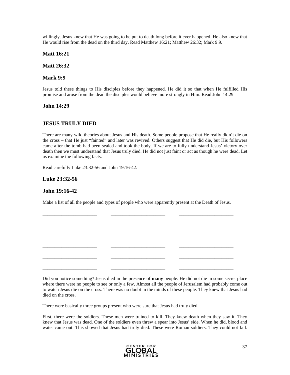willingly. Jesus knew that He was going to be put to death long before it ever happened. He also knew that He would rise from the dead on the third day. Read Matthew 16:21; Matthew 26:32; Mark 9:9.

**Matt 16:21** 

**Matt 26:32** 

### **Mark 9:9**

Jesus told these things to His disciples before they happened. He did it so that when He fulfilled His promise and arose from the dead the disciples would believe more strongly in Him. Read John 14:29

#### **John 14:29**

### **JESUS TRULY DIED**

There are many wild theories about Jesus and His death. Some people propose that He really didn't die on the cross – that He just "fainted" and later was revived. Others suggest that He did die, but His followers came after the tomb had been sealed and took the body. If we are to fully understand Jesus' victory over death then we must understand that Jesus truly died. He did not just faint or act as though he were dead. Let us examine the following facts.

Read carefully Luke 23:32-56 and John 19:16-42.

### **Luke 23:32-56**

### **John 19:16-42**

Make a list of all the people and types of people who were apparently present at the Death of Jesus.



Did you notice something? Jesus died in the presence of **many** people. He did not die in some secret place where there were no people to see or only a few. Almost all the people of Jerusalem had probably come out to watch Jesus die on the cross. There was no doubt in the minds of these people. They knew that Jesus had died on the cross.

There were basically three groups present who were sure that Jesus had truly died.

First, there were the soldiers. These men were trained to kill. They knew death when they saw it. They knew that Jesus was dead. One of the soldiers even threw a spear into Jesus' side. When he did, blood and water came out. This showed that Jesus had truly died. These were Roman soldiers. They could not fail.

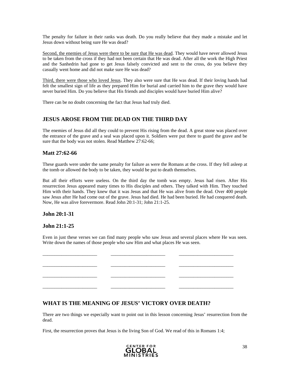The penalty for failure in their ranks was death. Do you really believe that they made a mistake and let Jesus down without being sure He was dead?

Second, the enemies of Jesus were there to be sure that He was dead. They would have never allowed Jesus to be taken from the cross if they had not been certain that He was dead. After all the work the High Priest and the Sanhedrin had gone to get Jesus falsely convicted and sent to the cross, do you believe they casually went home and did not make sure He was dead?

Third, there were those who loved Jesus. They also were sure that He was dead. If their loving hands had felt the smallest sign of life as they prepared Him for burial and carried him to the grave they would have never buried Him. Do you believe that His friends and disciples would have buried Him alive?

There can be no doubt concerning the fact that Jesus had truly died.

### **JESUS AROSE FROM THE DEAD ON THE THIRD DAY**

The enemies of Jesus did all they could to prevent His rising from the dead. A great stone was placed over the entrance of the grave and a seal was placed upon it. Soldiers were put there to guard the grave and be sure that the body was not stolen. Read Matthew 27:62-66;

### **Matt 27:62-66**

These guards were under the same penalty for failure as were the Romans at the cross. If they fell asleep at the tomb or allowed the body to be taken, they would be put to death themselves.

But all their efforts were useless. On the third day the tomb was empty. Jesus had risen. After His resurrection Jesus appeared many times to His disciples and others. They talked with Him. They touched Him with their hands. They knew that it was Jesus and that He was alive from the dead. Over 400 people saw Jesus after He had come out of the grave. Jesus had died. He had been buried. He had conquered death. Now, He was alive forevermore. Read John 20:1-31; John 21:1-25.

### **John 20:1-31**

### **John 21:1-25**

Even in just these verses we can find many people who saw Jesus and several places where He was seen. Write down the names of those people who saw Him and what places He was seen.

\_\_\_\_\_\_\_\_\_\_\_\_\_\_\_\_\_\_\_\_\_\_\_ \_\_\_\_\_\_\_\_\_\_\_\_\_\_\_\_\_\_\_\_\_\_\_ \_\_\_\_\_\_\_\_\_\_\_\_\_\_\_\_\_\_\_\_\_\_\_ \_\_\_\_\_\_\_\_\_\_\_\_\_\_\_\_\_\_\_\_\_\_\_ \_\_\_\_\_\_\_\_\_\_\_\_\_\_\_\_\_\_\_\_\_\_\_ \_\_\_\_\_\_\_\_\_\_\_\_\_\_\_\_\_\_\_\_\_\_\_ \_\_\_\_\_\_\_\_\_\_\_\_\_\_\_\_\_\_\_\_\_\_\_ \_\_\_\_\_\_\_\_\_\_\_\_\_\_\_\_\_\_\_\_\_\_\_ \_\_\_\_\_\_\_\_\_\_\_\_\_\_\_\_\_\_\_\_\_\_\_ \_\_\_\_\_\_\_\_\_\_\_\_\_\_\_\_\_\_\_\_\_\_\_ \_\_\_\_\_\_\_\_\_\_\_\_\_\_\_\_\_\_\_\_\_\_\_ \_\_\_\_\_\_\_\_\_\_\_\_\_\_\_\_\_\_\_\_\_\_\_

### **WHAT IS THE MEANING OF JESUS' VICTORY OVER DEATH?**

There are two things we especially want to point out in this lesson concerning Jesus' resurrection from the dead.

First, the resurrection proves that Jesus is the living Son of God. We read of this in Romans 1:4;

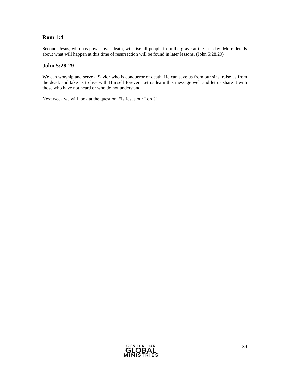### **Rom 1:4**

Second, Jesus, who has power over death, will rise all people from the grave at the last day. More details about what will happen at this time of resurrection will be found in later lessons. (John 5:28,29)

### **John 5:28-29**

We can worship and serve a Savior who is conqueror of death. He can save us from our sins, raise us from the dead, and take us to live with Himself forever. Let us learn this message well and let us share it with those who have not heard or who do not understand.

Next week we will look at the question, "Is Jesus our Lord?"

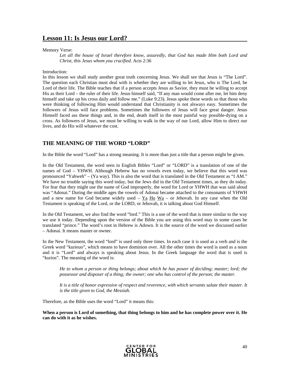### **Lesson 11: Is Jesus our Lord?**

#### Memory Verse:

Let all the house of Israel therefore know, assuredly, that God has made Him both Lord and *Christ, this Jesus whom you crucified.* Acts 2:36

#### Introduction:

In this lesson we shall study another great truth concerning Jesus. We shall see that Jesus is "The Lord". The question each Christian must deal with is whether they are willing to let Jesus, who is The Lord, be Lord of their life. The Bible teaches that if a person accepts Jesus as Savior, they must be willing to accept His as their Lord – the ruler of their life. Jesus himself said, "If any man would come after me, let him deny himself and take up his cross daily and follow me." (Luke 9:23). Jesus spoke these words so that those who were thinking of following Him would understand that Christianity is not alsways easy. Sometimes the followers of Jesus will face problems. Sometimes the followers of Jesus will face great danger. Jesus Himself faced ass these things and, in the end, death itself in the most painful way possible-dying on a cross. As followers of Jesus, we must be willing to walk in the way of our Lord, allow Him to direct our lives, and do His will whatever the cost.

### **THE MEANING OF THE WORD "LORD"**

In the Bible the word "Lord" has a strong meaning. It is more than just a title that a person might be given.

In the Old Testament, the word seen in English Bibles "Lord" or "LORD" is a translation of one of the names of God – YHWH. Although Hebrew has no vowels even today, we believe that this word was pronounced "Yahweh" – (Ya way). This is also the word that is translated in the Old Testament as "I AM." We have no trouble saying this word today, but the Jews did in the Old Testament times, as they do today. For fear that they might use the name of God improperly, the word for Lord or YHWH that was said aloud was "Adonai." During the middle ages the vowels of Adonai became attached to the consonants of YHWH and a new name for God became widely used –  $Ya$  Ho  $Wa$  – or Jehovah. In any case when the Old Testament is speaking of the Lord, or the LORD, or Jehovah, it is talking about God Himself.

In the Old Testament, we also find the word "lord." This is a use of the word that is more similar to the way we use it today. Depending upon the version of the Bible you are using this word may in some cases be translated "prince." The word's root in Hebrew is Adown. It is the source of the word we discussed earlier – Adonai. It means master or owner.

In the New Testament, the word "lord" is used only three times. In each case it is used as a verb and is the Greek word "kurieuo", which means to have dominion over. All the other times the word is used as a noun and it is "Lord" and always is speaking about Jesus. In the Greek language the word that is used is "kurios". The meaning of the word is:

*He to whom a person or thing belongs; about which he has power of deciding; master; lord; the possessor and disposer of a thing; the owner; one who has control of the person; the master.* 

*It is a title of honor expressive of respect and reverence, with which servants salute their master. It is the title given to God, the Messiah.* 

Therefore, as the Bible uses the word "Lord" it means this:

**When a person is Lord of something, that thing belongs to him and he has complete power over it. He can do with it as he wishes.** 

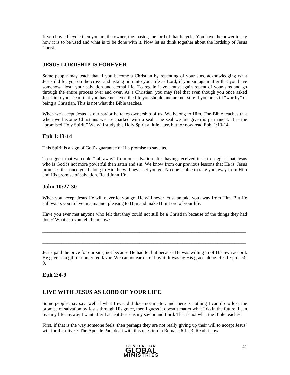If you buy a bicycle then you are the owner, the master, the lord of that bicycle. You have the power to say how it is to be used and what is to be done with it. Now let us think together about the lordship of Jesus Christ.

### **JESUS LORDSHIP IS FOREVER**

Some people may teach that if you become a Christian by repenting of your sins, acknowledging what Jesus did for you on the cross, and asking him into your life as Lord, if you sin again after that you have somehow "lost" your salvation and eternal life. To regain it you must again repent of your sins and go through the entire process over and over. As a Christian, you may feel that even though you once asked Jesus into your heart that you have not lived the life you should and are not sure if you are still "worthy" of being a Christian. This is not what the Bible teaches.

When we accept Jesus as our savior he takes ownership of us. We belong to Him. The Bible teaches that when we become Christians we are marked with a seal. The seal we are given is permanent. It is the "promised Holy Spirit." We will study this Holy Spirit a little later, but for now read Eph. 1:13-14.

### **Eph 1:13-14**

This Spirit is a sign of God's guarantee of His promise to save us.

To suggest that we could "fall away" from our salvation after having received it, is to suggest that Jesus who is God is not more powerful than satan and sin. We know from our previous lessons that He is. Jesus promises that once you belong to Him he will never let you go. No one is able to take you away from Him and His promise of salvation. Read John 10:

### **John 10:27-30**

When you accept Jesus He will never let you go. He will never let satan take you away from Him. But He still wants you to live in a manner pleasing to Him and make Him Lord of your life.

Have you ever met anyone who felt that they could not still be a Christian because of the things they had done? What can you tell them now?

 $\_$  ,  $\_$  ,  $\_$  ,  $\_$  ,  $\_$  ,  $\_$  ,  $\_$  ,  $\_$  ,  $\_$  ,  $\_$  ,  $\_$  ,  $\_$  ,  $\_$  ,  $\_$  ,  $\_$  ,  $\_$  ,  $\_$  ,  $\_$  ,  $\_$  ,  $\_$  ,  $\_$  ,  $\_$  ,  $\_$  ,  $\_$  ,  $\_$  ,  $\_$  ,  $\_$  ,  $\_$  ,  $\_$  ,  $\_$  ,  $\_$  ,  $\_$  ,  $\_$  ,  $\_$  ,  $\_$  ,  $\_$  ,  $\_$  ,

 $\_$  ,  $\_$  ,  $\_$  ,  $\_$  ,  $\_$  ,  $\_$  ,  $\_$  ,  $\_$  ,  $\_$  ,  $\_$  ,  $\_$  ,  $\_$  ,  $\_$  ,  $\_$  ,  $\_$  ,  $\_$  ,  $\_$  ,  $\_$  ,  $\_$  ,  $\_$  ,  $\_$  ,  $\_$  ,  $\_$  ,  $\_$  ,  $\_$  ,  $\_$  ,  $\_$  ,  $\_$  ,  $\_$  ,  $\_$  ,  $\_$  ,  $\_$  ,  $\_$  ,  $\_$  ,  $\_$  ,  $\_$  ,  $\_$  ,

Jesus paid the price for our sins, not because He had to, but because He was willing to of His own accord. He gave us a gift of unmerited favor. We cannot earn it or buy it. It was by His grace alone. Read Eph. 2:4- 9.

### **Eph 2:4-9**

### **LIVE WITH JESUS AS LORD OF YOUR LIFE**

Some people may say, well if what I ever did does not matter, and there is nothing I can do to lose the promise of salvation by Jesus through His grace, then I guess it doesn't matter what I do in the future. I can live my life anyway I want after I accept Jesus as my savior and Lord. That is not what the Bible teaches.

First, if that is the way someone feels, then perhaps they are not really giving up their will to accept Jesus' will for their lives? The Apostle Paul dealt with this question in Romans 6:1-23. Read it now.

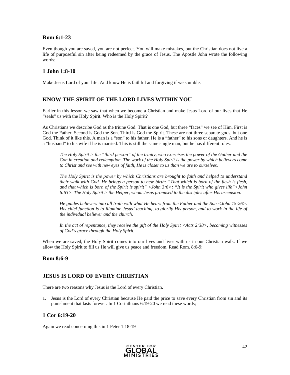### **Rom 6:1-23**

Even though you are saved, you are not perfect. You will make mistakes, but the Christian does not live a life of purposeful sin after being redeemed by the grace of Jesus. The Apostle John wrote the following words;

### **1 John 1:8-10**

Make Jesus Lord of your life. And know He is faithful and forgiving if we stumble.

### **KNOW THE SPIRIT OF THE LORD LIVES WITHIN YOU**

Earlier in this lesson we saw that when we become a Christian and make Jesus Lord of our lives that He "seals" us with the Holy Spirit. Who is the Holy Spirit?

As Christians we describe God as the triune God. That is one God, but three "faces" we see of Him. First is God the Father. Second is God the Son. Third is God the Spirit. These are not three separate gods, but one God. Think of it like this. A man is a "son" to his father. He is a "father" to his sons or daughters. And he is a "husband" to his wife if he is married. This is still the same single man, but he has different roles.

*The Holy Spirit is the "third person" of the trinity, who exercises the power of the Gather and the Con in creation and redemption. The work of the Holy Spirit is the power by which believers come to Christ and see with new eyes of faith, He is closer to us than we are to ourselves.* 

*The Holy Spirit is the power by which Christians are brought to faith and helped to understand their walk with God. He brings a person to new birth: "That which is born of the flesh is flesh, and that which is born of the Spirit is spirit" <John 3:6>; "It is the Spirit who gives life"<John 6:63>. The Holy Spirit is the Helper, whom Jesus promised to the disciples after His ascension.* 

*He guides believers into all truth with what He hears from the Father and the Son <John 15:26>. His chief function is to illumine Jesus' teaching, to glorify His person, and to work in the life of the individual believer and the church.* 

*In the act of repentance, they receive the gift of the Holy Spirit <Acts 2:38>, becoming witnesses of God's grace through the Holy Spirit.* 

When we are saved, the Holy Spirit comes into our lives and lives with us in our Christian walk. If we allow the Holy Spirit to fill us He will give us peace and freedom. Read Rom. 8:6-9;

### **Rom 8:6-9**

### **JESUS IS LORD OF EVERY CHRISTIAN**

There are two reasons why Jesus is the Lord of every Christian.

1. Jesus is the Lord of every Christian because He paid the price to save every Christian from sin and its punishment that lasts forever. In 1 Corinthians 6:19-20 we read these words;

### **1 Cor 6:19-20**

Again we read concerning this in 1 Peter 1:18-19

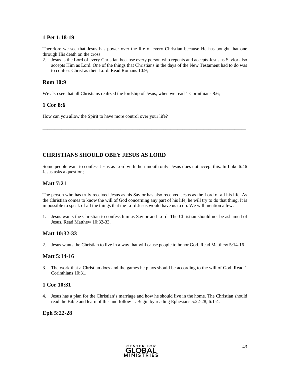### **1 Pet 1:18-19**

Therefore we see that Jesus has power over the life of every Christian because He has bought that one through His death on the cross.

2. Jesus is the Lord of every Christian because every person who repents and accepts Jesus as Savior also accepts Him as Lord. One of the things that Christians in the days of the New Testament had to do was to confess Christ as their Lord. Read Romans 10:9;

### **Rom 10:9**

We also see that all Christians realized the lordship of Jesus, when we read 1 Corinthians 8:6;

### **1 Cor 8:6**

How can you allow the Spirit to have more control over your life?

### **CHRISTIANS SHOULD OBEY JESUS AS LORD**

Some people want to confess Jesus as Lord with their mouth only. Jesus does not accept this. In Luke 6:46 Jesus asks a question;

 $\_$  ,  $\_$  ,  $\_$  ,  $\_$  ,  $\_$  ,  $\_$  ,  $\_$  ,  $\_$  ,  $\_$  ,  $\_$  ,  $\_$  ,  $\_$  ,  $\_$  ,  $\_$  ,  $\_$  ,  $\_$  ,  $\_$  ,  $\_$  ,  $\_$  ,  $\_$  ,  $\_$  ,  $\_$  ,  $\_$  ,  $\_$  ,  $\_$  ,  $\_$  ,  $\_$  ,  $\_$  ,  $\_$  ,  $\_$  ,  $\_$  ,  $\_$  ,  $\_$  ,  $\_$  ,  $\_$  ,  $\_$  ,  $\_$  ,

 $\_$  ,  $\_$  ,  $\_$  ,  $\_$  ,  $\_$  ,  $\_$  ,  $\_$  ,  $\_$  ,  $\_$  ,  $\_$  ,  $\_$  ,  $\_$  ,  $\_$  ,  $\_$  ,  $\_$  ,  $\_$  ,  $\_$  ,  $\_$  ,  $\_$  ,  $\_$  ,  $\_$  ,  $\_$  ,  $\_$  ,  $\_$  ,  $\_$  ,  $\_$  ,  $\_$  ,  $\_$  ,  $\_$  ,  $\_$  ,  $\_$  ,  $\_$  ,  $\_$  ,  $\_$  ,  $\_$  ,  $\_$  ,  $\_$  ,

### **Matt 7:21**

The person who has truly received Jesus as his Savior has also received Jesus as the Lord of all his life. As the Christian comes to know the will of God concerning any part of his life, he will try to do that thing. It is impossible to speak of all the things that the Lord Jesus would have us to do. We will mention a few.

1. Jesus wants the Christian to confess him as Savior and Lord. The Christian should not be ashamed of Jesus. Read Matthew 10:32-33.

### **Matt 10:32-33**

2. Jesus wants the Christian to live in a way that will cause people to honor God. Read Matthew 5:14-16

### **Matt 5:14-16**

3. The work that a Christian does and the games he plays should be according to the will of God. Read 1 Corinthians 10:31.

### **1 Cor 10:31**

4. Jesus has a plan for the Christian's marriage and how he should live in the home. The Christian should read the Bible and learn of this and follow it. Begin by reading Ephesians 5:22-28; 6:1-4.

### **Eph 5:22-28**

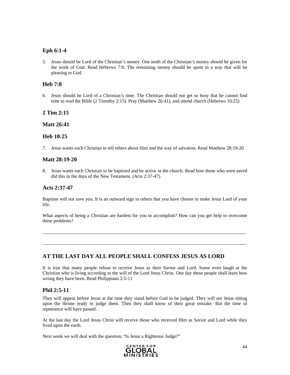### **Eph 6:1-4**

5. Jesus should be Lord of the Christian's money. One tenth of the Christian's money should be given for the work of God. Read Hebrews 7:8. The remaining money should be spent in a way that will be pleasing to God.

### **Heb 7:8**

6. Jesus should be Lord of a Christian's time. The Christian should not get so busy that he cannot find time to read the Bible (2 Timothy 2:15). Pray (Matthew 26:41), and attend church (Hebrews 10:25)

### **2 Tim 2:15**

#### **Matt 26:41**

### **Heb 10:25**

7. Jesus wants each Christian to tell others about Him and the way of salvation. Read Matthew 28:19-20

#### **Matt 28:19-20**

8. Jesus wants each Christian to be baptized and be active in the church. Read how those who were saved did this in the days of the New Testament. (Acts 2:37-47).

#### **Acts 2:37-47**

Baptism will not save you. It is an outward sign to others that you have chosen to make Jesus Lord of your life.

What aspects of being a Christian are hardest for you to accomplish? How can you get help to overcome these problems?

 $\_$  ,  $\_$  ,  $\_$  ,  $\_$  ,  $\_$  ,  $\_$  ,  $\_$  ,  $\_$  ,  $\_$  ,  $\_$  ,  $\_$  ,  $\_$  ,  $\_$  ,  $\_$  ,  $\_$  ,  $\_$  ,  $\_$  ,  $\_$  ,  $\_$  ,  $\_$  ,  $\_$  ,  $\_$  ,  $\_$  ,  $\_$  ,  $\_$  ,  $\_$  ,  $\_$  ,  $\_$  ,  $\_$  ,  $\_$  ,  $\_$  ,  $\_$  ,  $\_$  ,  $\_$  ,  $\_$  ,  $\_$  ,  $\_$  ,

\_\_\_\_\_\_\_\_\_\_\_\_\_\_\_\_\_\_\_\_\_\_\_\_\_\_\_\_\_\_\_\_\_\_\_\_\_\_\_\_\_\_\_\_\_\_\_\_\_\_\_\_\_\_\_\_\_\_\_\_\_\_\_\_\_\_\_\_\_\_\_\_\_\_\_\_\_\_\_\_\_\_\_\_\_\_

### **AT THE LAST DAY ALL PEOPLE SHALL CONFESS JESUS AS LORD**

It is true that many people refuse to receive Jesus as their Savior and Lord. Some even laugh at the Christian who is living according to the will of the Lord Jesus Christ. One day these people shall learn how wrong they have been. Read Philippians 2:5-11

### **Phil 2:5-11**

They will appear before Jesus at the time they stand before God to be judged. They will see Jesus sitting upon the throne ready to judge them. Then they shall know of their great mistake. But the time of repentance will have passed.

At the last day the Lord Jesus Christ will receive those who received Him as Savior and Lord while they lived upon the earth.

Next week we will deal with the question, "Is Jesus a Righteous Judge?"

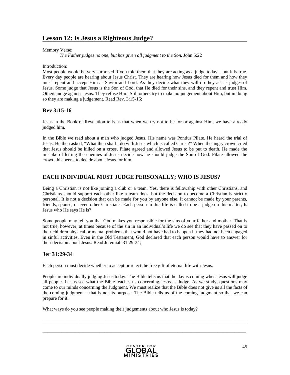### **Lesson 12: Is Jesus a Righteous Judge?**

#### Memory Verse:

*The Father judges no one, but has given all judgment to the Son.* John 5:22

#### Introduction:

Most people would be very surprised if you told them that they are acting as a judge today – but it is true. Every day people are hearing about Jesus Christ. They are hearing how Jesus died for them and how they must repent and accept Him as Savior and Lord. As they decide what they will do they act as judges of Jesus. Some judge that Jesus is the Son of God, that He died for their sins, and they repent and trust Him. Others judge against Jesus. They refuse Him. Still others try to make no judgement about Him, but in doing so they are making a judgement. Read Rev. 3:15-16;

### **Rev 3:15-16**

Jesus in the Book of Revelation tells us that when we try not to be for or against Him, we have already judged him.

In the Bible we read about a man who judged Jesus. His name was Pontius Pilate. He heard the trial of Jesus. He then asked, "What then shall I do with Jesus which is called Christ?" When the angry crowd cried that Jesus should be killed on a cross, Pilate agreed and allowed Jesus to be put to death. He made the mistake of letting the enemies of Jesus decide how he should judge the Son of God. Pilate allowed the crowd, his peers, to decide about Jesus for him.

### **EACH INDIVIDUAL MUST JUDGE PERSONALLY; WHO IS JESUS?**

Being a Christian is not like joining a club or a team. Yes, there is fellowship with other Christians, and Christians should support each other like a team does, but the decision to become a Christian is strictly personal. It is not a decision that can be made for you by anyone else. It cannot be made by your parents, friends, spouse, or even other Christians. Each person in this life is called to be a judge on this matter; Is Jesus who He says He is?

Some people may tell you that God makes you responsible for the sins of your father and mother. That is not true, however, at times because of the sin in an individual's life we do see that they have passed on to their children physical or mental problems that would not have had to happen if they had not been engaged in sinful activities. Even in the Old Testament, God declared that each person would have to answer for their decision about Jesus. Read Jeremiah 31:29-34;

### **Jer 31:29-34**

Each person must decide whether to accept or reject the free gift of eternal life with Jesus.

People are individually judging Jesus today. The Bible tells us that the day is coming when Jesus will judge all people. Let us see what the Bible teaches us concerning Jesus as Judge. As we study, questions may come to our minds concerning the Judgment. We must realize that the Bible does not give us all the facts of the coming judgment – that is not its purpose. The Bible tells us of the coming judgment so that we can prepare for it.

 $\_$  ,  $\_$  ,  $\_$  ,  $\_$  ,  $\_$  ,  $\_$  ,  $\_$  ,  $\_$  ,  $\_$  ,  $\_$  ,  $\_$  ,  $\_$  ,  $\_$  ,  $\_$  ,  $\_$  ,  $\_$  ,  $\_$  ,  $\_$  ,  $\_$  ,  $\_$  ,  $\_$  ,  $\_$  ,  $\_$  ,  $\_$  ,  $\_$  ,  $\_$  ,  $\_$  ,  $\_$  ,  $\_$  ,  $\_$  ,  $\_$  ,  $\_$  ,  $\_$  ,  $\_$  ,  $\_$  ,  $\_$  ,  $\_$  ,

 $\_$  ,  $\_$  ,  $\_$  ,  $\_$  ,  $\_$  ,  $\_$  ,  $\_$  ,  $\_$  ,  $\_$  ,  $\_$  ,  $\_$  ,  $\_$  ,  $\_$  ,  $\_$  ,  $\_$  ,  $\_$  ,  $\_$  ,  $\_$  ,  $\_$  ,  $\_$  ,  $\_$  ,  $\_$  ,  $\_$  ,  $\_$  ,  $\_$  ,  $\_$  ,  $\_$  ,  $\_$  ,  $\_$  ,  $\_$  ,  $\_$  ,  $\_$  ,  $\_$  ,  $\_$  ,  $\_$  ,  $\_$  ,  $\_$  ,

What ways do you see people making their judgements about who Jesus is today?

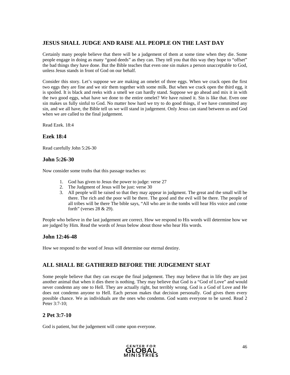### **JESUS SHALL JUDGE AND RAISE ALL PEOPLE ON THE LAST DAY**

Certainly many people believe that there will be a judgement of them at some time when they die. Some people engage in doing as many "good deeds" as they can. They tell you that this way they hope to "offset" the bad things they have done. But the Bible teaches that even one sin makes a person unacceptable to God, unless Jesus stands in front of God on our behalf.

Consider this story. Let's suppose we are making an omelet of three eggs. When we crack open the first two eggs they are fine and we stir them together with some milk. But when we crack open the third egg, it is spoiled. It is black and reeks with a smell we can hardly stand. Suppose we go ahead and mix it in with the two good eggs, what have we done to the entire omelet? We have ruined it. Sin is like that. Even one sin makes us fully sinful to God. No matter how hard we try to do good things, if we have committed any sin, and we all have, the Bible tell us we will stand in judgement. Only Jesus can stand between us and God when we are called to the final judgement.

Read Ezek. 18:4

### **Ezek 18:4**

Read carefully John 5:26-30

### **John 5:26-30**

Now consider some truths that this passage teaches us:

- 1. God has given to Jesus the power to judge: verse 27
- 2. The Judgment of Jesus will be just: verse 30
- 3. All people will be raised so that they may appear in judgment. The great and the small will be there. The rich and the poor will be there. The good and the evil will be there. The people of all tribes will be there The bible says, "All who are in the tombs will hear His voice and come forth" (verses 28 & 29).

People who believe in the last judgement are correct. How we respond to His words will determine how we are judged by Him. Read the words of Jesus below about those who hear His words.

### **John 12:46-48**

How we respond to the word of Jesus will determine our eternal destiny.

### **ALL SHALL BE GATHERED BEFORE THE JUDGEMENT SEAT**

Some people believe that they can escape the final judgement. They may believe that in life they are just another animal that when it dies there is nothing. They may believe that God is a "God of Love" and would never condemn any one to Hell. They are actually right, but terribly wrong. God is a God of Love and He does not condemn anyone to Hell. Each person makes that decision personally. God gives them every possible chance. We as individuals are the ones who condemn. God wants everyone to be saved. Read 2 Peter 3:7-10;

### **2 Pet 3:7-10**

God is patient, but the judgement will come upon everyone.

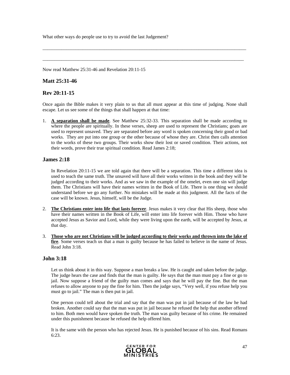What other ways do people use to try to avoid the last Judgement?

Now read Matthew 25:31-46 and Revelation 20:11-15

### **Matt 25:31-46**

### **Rev 20:11-15**

Once again the Bible makes it very plain to us that all must appear at this time of judging. None shall escape. Let us see some of the things that shall happen at that time:

\_\_\_\_\_\_\_\_\_\_\_\_\_\_\_\_\_\_\_\_\_\_\_\_\_\_\_\_\_\_\_\_\_\_\_\_\_\_\_\_\_\_\_\_\_\_\_\_\_\_\_\_\_\_\_\_\_\_\_\_\_\_\_\_\_\_\_\_\_\_\_\_\_\_\_\_\_\_\_\_\_\_\_\_\_\_

 $\_$  ,  $\_$  ,  $\_$  ,  $\_$  ,  $\_$  ,  $\_$  ,  $\_$  ,  $\_$  ,  $\_$  ,  $\_$  ,  $\_$  ,  $\_$  ,  $\_$  ,  $\_$  ,  $\_$  ,  $\_$  ,  $\_$  ,  $\_$  ,  $\_$  ,  $\_$  ,  $\_$  ,  $\_$  ,  $\_$  ,  $\_$  ,  $\_$  ,  $\_$  ,  $\_$  ,  $\_$  ,  $\_$  ,  $\_$  ,  $\_$  ,  $\_$  ,  $\_$  ,  $\_$  ,  $\_$  ,  $\_$  ,  $\_$  ,

1. **A separation shall be made**. See Matthew 25:32-33. This separation shall be made according to where the people are spiritually. In these verses, sheep are used to represent the Christians; goats are used to represent unsaved. They are separated before any word is spoken concerning their good or bad works. They are put into one group or the other because of whose they are. Christ then calls attention to the works of these two groups. Their works show their lost or saved condition. Their actions, not their words, prove their true spiritual condition. Read James 2:18;

### **James 2:18**

In Revelation 20:11-15 we are told again that there will be a separation. This time a different idea is used to teach the same truth. The unsaved will have all their works written in the book and they will be judged according to their works. And as we saw in the example of the omelet, even one sin will judge them. The Christians will have their names written in the Book of Life. There is one thing we should understand before we go any further. No mistakes will be made at this judgment. All the facts of the case will be known. Jesus, himself, will be the Judge.

- 2. **The Christians enter into life that lasts forever**. Jesus makes it very clear that His sheep, those who have their names written in the Book of Life, will enter into life forever with Him. Those who have accepted Jesus as Savior and Lord, while they were living upon the earth, will be accepted by Jesus, at that day.
- 3. **Those who are not Christians will be judged according to their works and thrown into the lake of fire**. Some verses teach us that a man is guilty because he has failed to believe in the name of Jesus. Read John 3:18.

### **John 3:18**

Let us think about it in this way. Suppose a man breaks a law. He is caught and taken before the judge. The judge hears the case and finds that the man is guilty. He says that the man must pay a fine or go to jail. Now suppose a friend of the guilty man comes and says that he will pay the fine. But the man refuses to allow anyone to pay the fine for him. Then the judge says, "Very well, if you refuse help you must go to jail." The man is then put in jail.

One person could tell about the trial and say that the man was put in jail because of the law he had broken. Another could say that the man was put in jail because he refused the help that another offered to him. Both men would have spoken the truth. The man was guilty because of his crime. He remained under this punishment because he refused the help offered him.

It is the same with the person who has rejected Jesus. He is punished because of his sins. Read Romans 6:23.

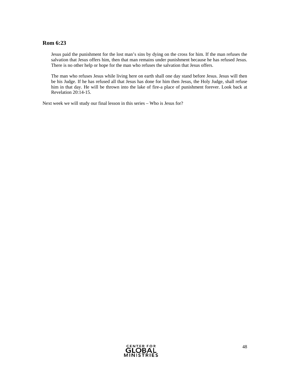### **Rom 6:23**

Jesus paid the punishment for the lost man's sins by dying on the cross for him. If the man refuses the salvation that Jesus offers him, then that man remains under punishment because he has refused Jesus. There is no other help or hope for the man who refuses the salvation that Jesus offers.

The man who refuses Jesus while living here on earth shall one day stand before Jesus. Jesus will then be his Judge. If he has refused all that Jesus has done for him then Jesus, the Holy Judge, shall refuse him in that day. He will be thrown into the lake of fire-a place of punishment forever. Look back at Revelation 20:14-15.

Next week we will study our final lesson in this series – Who is Jesus for?

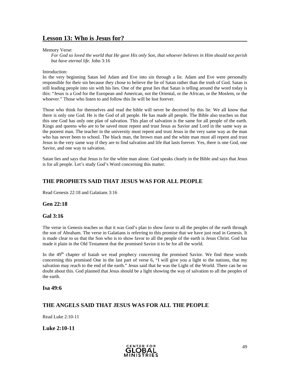### **Lesson 13: Who is Jesus for?**

Memory Verse:

*For God so loved the world that He gave His only Son, that whoever believes in Him should not perish but have eternal life.* John 3:16

#### Introduction:

In the very beginning Satan led Adam and Eve into sin through a lie. Adam and Eve were personally responsible for their sin because they chose to believe the lie of Satan rather than the truth of God. Satan is still leading people into sin with his lies. One of the great lies that Satan is telling around the word today is this: "Jesus is a God for the European and American, not the Oriental, or the African, or the Moslem, or the whoever." Those who listen to and follow this lie will be lost forever.

Those who think for themselves and read the bible will never be deceived by this lie. We all know that there is only one God. He is the God of all people. He has made all people. The Bible also teaches us that this one God has only one plan of salvation. This plan of salvation is the same for all people of the earth. Kings and queens who are to be saved must repent and trust Jesus as Savior and Lord in the same way as the poorest man. The teacher in the university must repent and trust Jesus in the very same way as the man who has never been to school. The black man, the brown man and the white man must all repent and trust Jesus in the very same way if they are to find salvation and life that lasts forever. Yes, there is one God, one Savior, and one way to salvation.

Satan lies and says that Jesus is for the white man alone. God speaks clearly in the Bible and says that Jesus is for all people. Let's study God's Word concerning this matter.

### **THE PROPHETS SAID THAT JESUS WAS FOR ALL PEOPLE**

Read Genesis 22:18 and Galatians 3:16

### **Gen 22:18**

### **Gal 3:16**

The verse in Genesis teaches us that it was God's plan to show favor to all the peoples of the earth through the son of Abraham. The verse in Galatians is referring to this promise that we have just read in Genesis. It is made clear to us that the Son who is to show favor to all the people of the earth is Jesus Christ. God has made it plain in the Old Testament that the promised Savior it to be for all the world.

In the  $49<sup>th</sup>$  chapter of Isaiah we read prophecy concerning the promised Savior. We find these words concerning this promised One in the last part of verse 6, "I will give you a light to the nations, that my salvation may reach to the end of the earth." Jesus said that he was the Light of the World. There can be no doubt about this. God planned that Jesus should be a light showing the way of salvation to all the peoples of the earth.

#### **Isa 49:6**

### **THE ANGELS SAID THAT JESUS WAS FOR ALL THE PEOPLE**

Read Luke 2:10-11

**Luke 2:10-11** 

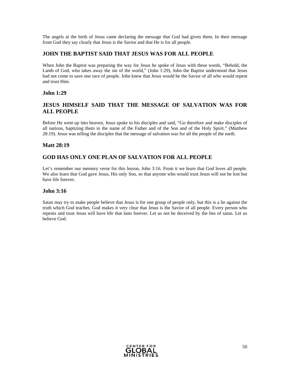The angels at the birth of Jesus came declaring the message that God had given them. In their message from God they say clearly that Jesus is the Savior and that He is for all people.

### **JOHN THE BAPTIST SAID THAT JESUS WAS FOR ALL PEOPLE**

When John the Baptist was preparing the way for Jesus he spoke of Jesus with these words, "Behold, the Lamb of God, who takes away the sin of the world," (John 1:29), John the Baptist understood that Jesus had not come to save one race of people. John knew that Jesus would be the Savior of all who would repent and trust Him.

### **John 1:29**

### **JESUS HIMSELF SAID THAT THE MESSAGE OF SALVATION WAS FOR ALL PEOPLE**

Before He went up into heaven, Jesus spoke to his disciples and said, "Go therefore and make disciples of all nations, baptizing them in the name of the Father and of the Son and of the Holy Spirit." (Matthew 28:19). Jesus was telling the disciples that the message of salvation was for all the people of the earth.

### **Matt 28:19**

### **GOD HAS ONLY ONE PLAN OF SALVATION FOR ALL PEOPLE**

Let's remember our memory verse for this lesson, John 3:16. From it we learn that God loves all people. We also learn that God gave Jesus, His only Son, so that anyone who would trust Jesus will not be lost but have life forever.

### **John 3:16**

Satan may try to make people believe that Jesus is for one group of people only, but this is a lie against the truth which God teaches. God makes it very clear that Jesus is the Savior of all people. Every person who repents and trust Jesus will have life that lasts forever. Let us not be deceived by the lies of satan. Let us believe God.

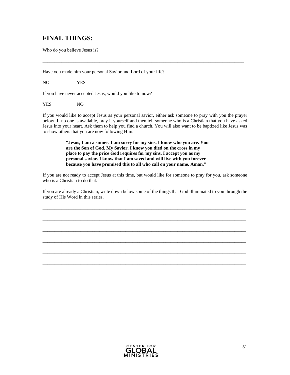### **FINAL THINGS:**

Who do you believe Jesus is?

Have you made him your personal Savior and Lord of your life?

NO YES

If you have never accepted Jesus, would you like to now?

YES NO

If you would like to accept Jesus as your personal savior, either ask someone to pray with you the prayer below. If no one is available, pray it yourself and then tell someone who is a Christian that you have asked Jesus into your heart. Ask them to help you find a church. You will also want to be baptized like Jesus was to show others that you are now following Him.

 $\overline{\phantom{a}}$  , and the contribution of the contribution of the contribution of the contribution of the contribution of the contribution of the contribution of the contribution of the contribution of the contribution of the

**"Jesus, I am a sinner. I am sorry for my sins. I know who you are. You are the Son of God. My Savior. I know you died on the cross in my place to pay the price God requires for my sins. I accept you as my personal savior. I know that I am saved and will live with you forever because you have promised this to all who call on your name. Aman."** 

If you are not ready to accept Jesus at this time, but would like for someone to pray for you, ask someone who is a Christian to do that.

If you are already a Christian, write down below some of the things that God illuminated to you through the study of His Word in this series.

\_\_\_\_\_\_\_\_\_\_\_\_\_\_\_\_\_\_\_\_\_\_\_\_\_\_\_\_\_\_\_\_\_\_\_\_\_\_\_\_\_\_\_\_\_\_\_\_\_\_\_\_\_\_\_\_\_\_\_\_\_\_\_\_\_\_\_\_\_\_\_\_\_\_\_\_\_\_\_\_\_\_\_\_\_\_

\_\_\_\_\_\_\_\_\_\_\_\_\_\_\_\_\_\_\_\_\_\_\_\_\_\_\_\_\_\_\_\_\_\_\_\_\_\_\_\_\_\_\_\_\_\_\_\_\_\_\_\_\_\_\_\_\_\_\_\_\_\_\_\_\_\_\_\_\_\_\_\_\_\_\_\_\_\_\_\_\_\_\_\_\_\_

\_\_\_\_\_\_\_\_\_\_\_\_\_\_\_\_\_\_\_\_\_\_\_\_\_\_\_\_\_\_\_\_\_\_\_\_\_\_\_\_\_\_\_\_\_\_\_\_\_\_\_\_\_\_\_\_\_\_\_\_\_\_\_\_\_\_\_\_\_\_\_\_\_\_\_\_\_\_\_\_\_\_\_\_\_\_

\_\_\_\_\_\_\_\_\_\_\_\_\_\_\_\_\_\_\_\_\_\_\_\_\_\_\_\_\_\_\_\_\_\_\_\_\_\_\_\_\_\_\_\_\_\_\_\_\_\_\_\_\_\_\_\_\_\_\_\_\_\_\_\_\_\_\_\_\_\_\_\_\_\_\_\_\_\_\_\_\_\_\_\_\_\_

\_\_\_\_\_\_\_\_\_\_\_\_\_\_\_\_\_\_\_\_\_\_\_\_\_\_\_\_\_\_\_\_\_\_\_\_\_\_\_\_\_\_\_\_\_\_\_\_\_\_\_\_\_\_\_\_\_\_\_\_\_\_\_\_\_\_\_\_\_\_\_\_\_\_\_\_\_\_\_\_\_\_\_\_\_\_

\_\_\_\_\_\_\_\_\_\_\_\_\_\_\_\_\_\_\_\_\_\_\_\_\_\_\_\_\_\_\_\_\_\_\_\_\_\_\_\_\_\_\_\_\_\_\_\_\_\_\_\_\_\_\_\_\_\_\_\_\_\_\_\_\_\_\_\_\_\_\_\_\_\_\_\_\_\_\_\_\_\_\_\_\_\_